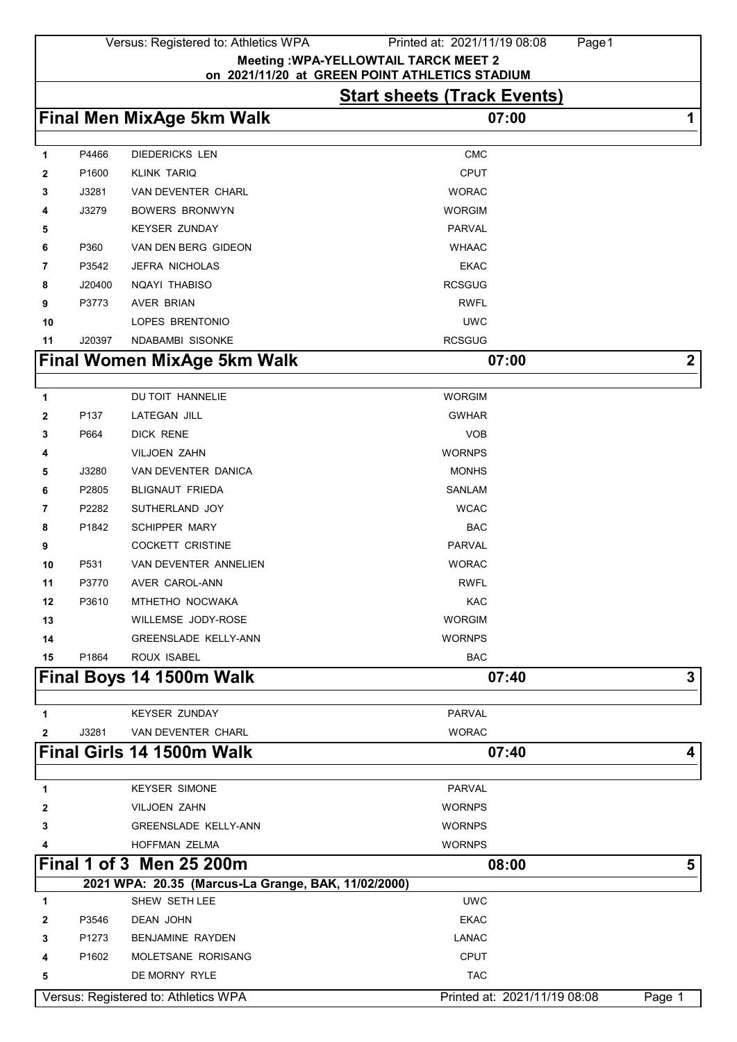|              |        | Versus: Registered to: Athletics WPA                | Printed at: 2021/11/19 08:08<br>Page 1                                                         |                  |
|--------------|--------|-----------------------------------------------------|------------------------------------------------------------------------------------------------|------------------|
|              |        |                                                     | <b>Meeting : WPA-YELLOWTAIL TARCK MEET 2</b><br>on 2021/11/20 at GREEN POINT ATHLETICS STADIUM |                  |
|              |        |                                                     | <b>Start sheets (Track Events)</b>                                                             |                  |
|              |        | <b>Final Men MixAge 5km Walk</b>                    | 07:00                                                                                          | 1                |
|              |        |                                                     |                                                                                                |                  |
| 1            | P4466  | <b>DIEDERICKS LEN</b>                               | <b>CMC</b>                                                                                     |                  |
| 2            | P1600  | <b>KLINK TARIQ</b>                                  | <b>CPUT</b>                                                                                    |                  |
| 3            | J3281  | <b>VAN DEVENTER CHARL</b>                           | <b>WORAC</b>                                                                                   |                  |
| 4            | J3279  | <b>BOWERS BRONWYN</b>                               | <b>WORGIM</b>                                                                                  |                  |
| 5            |        | <b>KEYSER ZUNDAY</b>                                | <b>PARVAL</b>                                                                                  |                  |
| 6            | P360   | VAN DEN BERG GIDEON                                 | <b>WHAAC</b>                                                                                   |                  |
| 7            | P3542  | <b>JEFRA NICHOLAS</b>                               | <b>EKAC</b>                                                                                    |                  |
| 8            | J20400 | NQAYI THABISO                                       | <b>RCSGUG</b>                                                                                  |                  |
| 9            | P3773  | <b>AVER BRIAN</b>                                   | <b>RWFL</b>                                                                                    |                  |
| 10           |        | LOPES BRENTONIO                                     | <b>UWC</b>                                                                                     |                  |
| 11           | J20397 | <b>NDABAMBI SISONKE</b>                             | <b>RCSGUG</b>                                                                                  |                  |
|              |        | <b>Final Women MixAge 5km Walk</b>                  | 07:00                                                                                          | $\boldsymbol{2}$ |
|              |        |                                                     |                                                                                                |                  |
| 1            |        | DU TOIT HANNELIE                                    | <b>WORGIM</b>                                                                                  |                  |
| 2            | P137   | LATEGAN JILL                                        | <b>GWHAR</b>                                                                                   |                  |
| 3            | P664   | DICK RENE                                           | <b>VOB</b>                                                                                     |                  |
| 4            |        | <b>VILJOEN ZAHN</b>                                 | <b>WORNPS</b>                                                                                  |                  |
| 5            | J3280  | VAN DEVENTER DANICA                                 | <b>MONHS</b>                                                                                   |                  |
| 6            | P2805  | <b>BLIGNAUT FRIEDA</b>                              | SANLAM                                                                                         |                  |
| 7            | P2282  | SUTHERLAND JOY                                      | <b>WCAC</b>                                                                                    |                  |
| 8            | P1842  | <b>SCHIPPER MARY</b>                                | BAC                                                                                            |                  |
| 9            |        | <b>COCKETT CRISTINE</b>                             | PARVAL                                                                                         |                  |
| 10           | P531   | VAN DEVENTER ANNELIEN                               | <b>WORAC</b>                                                                                   |                  |
| 11           | P3770  | AVER CAROL-ANN                                      | <b>RWFL</b>                                                                                    |                  |
| 12           | P3610  | MTHETHO NOCWAKA                                     | KAC                                                                                            |                  |
| 13           |        | <b>WILLEMSE JODY-ROSE</b>                           | <b>WORGIM</b>                                                                                  |                  |
| 14           |        | <b>GREENSLADE KELLY-ANN</b>                         | <b>WORNPS</b>                                                                                  |                  |
| 15           | P1864  | ROUX ISABEL                                         | <b>BAC</b>                                                                                     |                  |
|              |        | Final Boys 14 1500m Walk                            | 07:40                                                                                          | 3                |
| $\mathbf 1$  |        | <b>KEYSER ZUNDAY</b>                                | <b>PARVAL</b>                                                                                  |                  |
| $\mathbf{2}$ | J3281  | VAN DEVENTER CHARL                                  | <b>WORAC</b>                                                                                   |                  |
|              |        | Final Girls 14 1500m Walk                           | 07:40                                                                                          | 4                |
|              |        |                                                     |                                                                                                |                  |
| 1            |        | <b>KEYSER SIMONE</b>                                | <b>PARVAL</b>                                                                                  |                  |
| $\mathbf{2}$ |        | VILJOEN ZAHN                                        | <b>WORNPS</b>                                                                                  |                  |
| 3            |        | <b>GREENSLADE KELLY-ANN</b>                         | <b>WORNPS</b>                                                                                  |                  |
|              |        | HOFFMAN ZELMA                                       | <b>WORNPS</b>                                                                                  |                  |
|              |        | Final 1 of 3 Men 25 200m                            | 08:00                                                                                          | 5                |
|              |        | 2021 WPA: 20.35 (Marcus-La Grange, BAK, 11/02/2000) |                                                                                                |                  |
| 1            |        | SHEW SETH LEE                                       | <b>UWC</b>                                                                                     |                  |
| $\mathbf{2}$ | P3546  | DEAN JOHN                                           | <b>EKAC</b>                                                                                    |                  |
| 3            | P1273  | BENJAMINE RAYDEN                                    | <b>LANAC</b>                                                                                   |                  |
| 4            | P1602  | MOLETSANE RORISANG                                  | <b>CPUT</b>                                                                                    |                  |
| 5            |        | DE MORNY RYLE                                       | <b>TAC</b>                                                                                     |                  |

Versus: Registered to: Athletics WPA Printed at: 2021/11/19 08:08 Page 1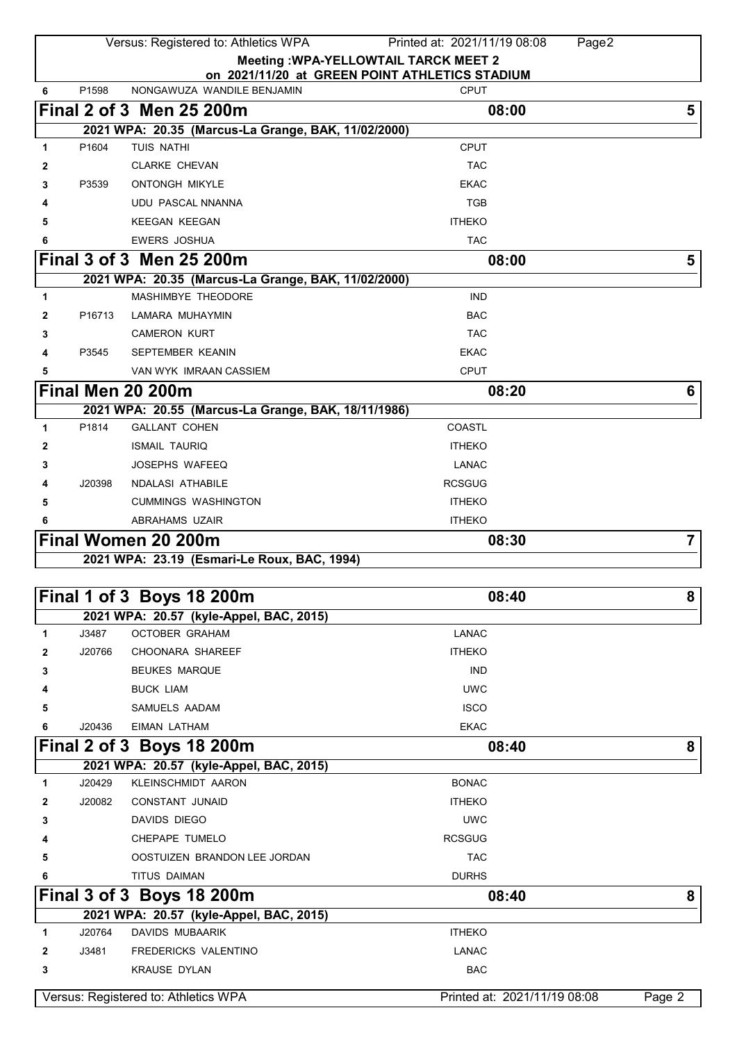| Versus: Registered to: Athletics WPA<br>Printed at: 2021/11/19 08:08<br>Page2 |                    |                                                     |                                                |                |
|-------------------------------------------------------------------------------|--------------------|-----------------------------------------------------|------------------------------------------------|----------------|
|                                                                               |                    |                                                     | <b>Meeting : WPA-YELLOWTAIL TARCK MEET 2</b>   |                |
|                                                                               |                    |                                                     | on 2021/11/20 at GREEN POINT ATHLETICS STADIUM |                |
| 6                                                                             | P1598              | NONGAWUZA WANDILE BENJAMIN                          | <b>CPUT</b>                                    |                |
|                                                                               |                    | Final 2 of 3 Men 25 200m                            | 08:00                                          | 5              |
|                                                                               |                    | 2021 WPA: 20.35 (Marcus-La Grange, BAK, 11/02/2000) |                                                |                |
| 1                                                                             | P1604              | TUIS NATHI                                          | <b>CPUT</b>                                    |                |
| 2                                                                             |                    | <b>CLARKE CHEVAN</b>                                | <b>TAC</b>                                     |                |
| 3                                                                             | P3539              | <b>ONTONGH MIKYLE</b>                               | <b>EKAC</b>                                    |                |
|                                                                               |                    | <b>UDU PASCAL NNANNA</b>                            | <b>TGB</b>                                     |                |
|                                                                               |                    | <b>KEEGAN KEEGAN</b>                                | <b>ITHEKO</b>                                  |                |
| 6                                                                             |                    | <b>EWERS JOSHUA</b>                                 | <b>TAC</b>                                     |                |
|                                                                               |                    | Final 3 of 3 Men 25 200m                            | 08:00                                          | 5              |
|                                                                               |                    | 2021 WPA: 20.35 (Marcus-La Grange, BAK, 11/02/2000) |                                                |                |
| 1                                                                             |                    | MASHIMBYE THEODORE                                  | <b>IND</b>                                     |                |
| 2                                                                             | P <sub>16713</sub> | LAMARA MUHAYMIN                                     | <b>BAC</b>                                     |                |
| 3                                                                             |                    | <b>CAMERON KURT</b>                                 | <b>TAC</b>                                     |                |
| 4                                                                             | P3545              | SEPTEMBER KEANIN                                    | <b>EKAC</b>                                    |                |
| 5                                                                             |                    | VAN WYK IMRAAN CASSIEM                              | <b>CPUT</b>                                    |                |
|                                                                               |                    | Final Men 20 200m                                   | 08:20                                          | 6              |
|                                                                               |                    | 2021 WPA: 20.55 (Marcus-La Grange, BAK, 18/11/1986) |                                                |                |
| 1                                                                             | P1814              | <b>GALLANT COHEN</b>                                | COASTL                                         |                |
| 2                                                                             |                    | <b>ISMAIL TAURIQ</b>                                | <b>ITHEKO</b>                                  |                |
| 3                                                                             |                    | <b>JOSEPHS WAFEEQ</b>                               | LANAC                                          |                |
|                                                                               | J20398             | NDALASI ATHABILE                                    | <b>RCSGUG</b>                                  |                |
| 5                                                                             |                    | <b>CUMMINGS WASHINGTON</b>                          | <b>ITHEKO</b>                                  |                |
|                                                                               |                    | ABRAHAMS UZAIR                                      | <b>ITHEKO</b>                                  |                |
|                                                                               |                    | Final Women 20 200m                                 | 08:30                                          | $\overline{7}$ |
|                                                                               |                    | 2021 WPA: 23.19 (Esmari-Le Roux, BAC, 1994)         |                                                |                |
|                                                                               |                    |                                                     |                                                |                |
|                                                                               |                    | Final 1 of 3 Boys 18 200m                           | 08:40                                          | 8              |
|                                                                               |                    | 2021 WPA: 20.57 (kyle-Appel, BAC, 2015)             |                                                |                |
| 1                                                                             | J3487              | <b>OCTOBER GRAHAM</b>                               | LANAC                                          |                |
| 2                                                                             | J20766             | CHOONARA SHAREEF                                    | <b>ITHEKO</b>                                  |                |
| 3                                                                             |                    | <b>BEUKES MARQUE</b>                                | <b>IND</b>                                     |                |
|                                                                               |                    | <b>BUCK LIAM</b>                                    | <b>UWC</b>                                     |                |
| 5                                                                             |                    | SAMUELS AADAM                                       | <b>ISCO</b>                                    |                |
| 6                                                                             | J20436             | <b>EIMAN LATHAM</b>                                 | <b>EKAC</b>                                    |                |
|                                                                               |                    | Final 2 of 3 Boys 18 200m                           | 08:40                                          | 8              |
|                                                                               |                    | 2021 WPA: 20.57 (kyle-Appel, BAC, 2015)             |                                                |                |
| 1                                                                             | J20429             | <b>KLEINSCHMIDT AARON</b>                           | <b>BONAC</b>                                   |                |
| 2                                                                             | J20082             | CONSTANT JUNAID                                     | <b>ITHEKO</b>                                  |                |
| 3                                                                             |                    | DAVIDS DIEGO                                        | <b>UWC</b>                                     |                |
|                                                                               |                    | CHEPAPE TUMELO                                      | <b>RCSGUG</b>                                  |                |
| 5                                                                             |                    | OOSTUIZEN BRANDON LEE JORDAN                        | <b>TAC</b>                                     |                |
| 6                                                                             |                    | TITUS DAIMAN                                        | <b>DURHS</b>                                   |                |
|                                                                               |                    | Final 3 of 3 Boys 18 200m                           | 08:40                                          | 8              |
|                                                                               |                    | 2021 WPA: 20.57 (kyle-Appel, BAC, 2015)             |                                                |                |
| 1                                                                             | J20764             | <b>DAVIDS MUBAARIK</b>                              | <b>ITHEKO</b>                                  |                |
| 2                                                                             | J3481              | FREDERICKS VALENTINO                                | LANAC                                          |                |
| 3                                                                             |                    | <b>KRAUSE DYLAN</b>                                 | <b>BAC</b>                                     |                |
|                                                                               |                    |                                                     |                                                |                |
|                                                                               |                    | Versus: Registered to: Athletics WPA                | Printed at: 2021/11/19 08:08                   | Page 2         |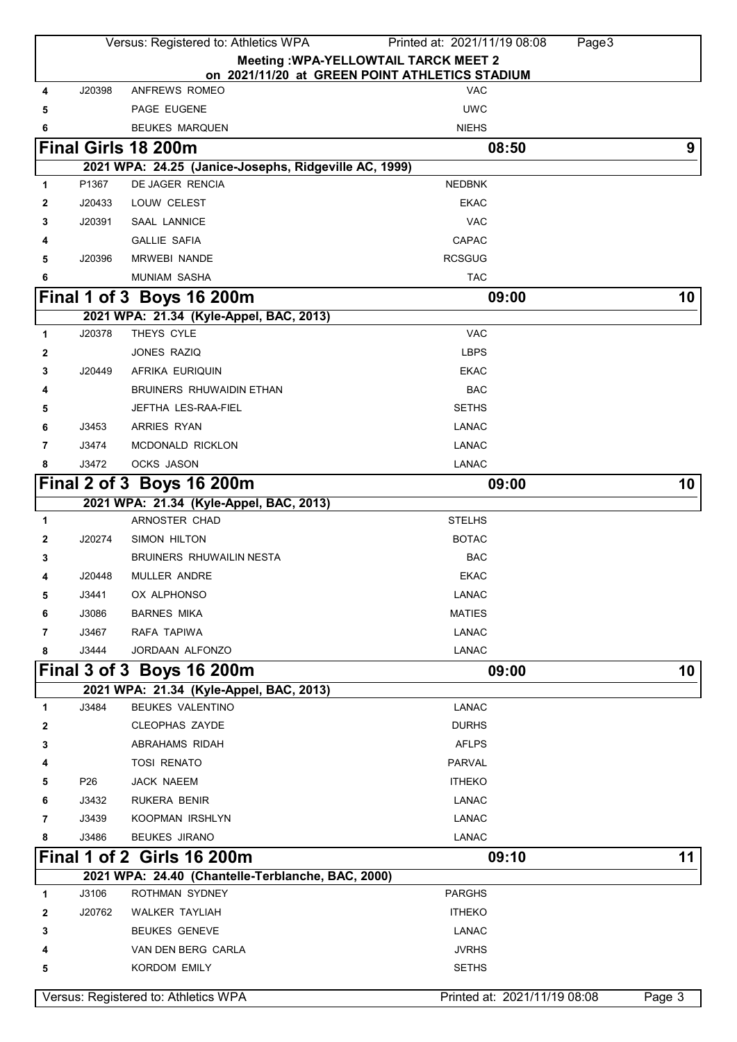|              |                 | Versus: Registered to: Athletics WPA                  | Printed at: 2021/11/19 08:08<br>Page3          |        |
|--------------|-----------------|-------------------------------------------------------|------------------------------------------------|--------|
|              |                 |                                                       | <b>Meeting : WPA-YELLOWTAIL TARCK MEET 2</b>   |        |
|              |                 |                                                       | on 2021/11/20 at GREEN POINT ATHLETICS STADIUM |        |
| 4            | J20398          | ANFREWS ROMEO                                         | <b>VAC</b>                                     |        |
| 5            |                 | PAGE EUGENE                                           | <b>UWC</b>                                     |        |
| 6            |                 | <b>BEUKES MARQUEN</b>                                 | <b>NIEHS</b>                                   |        |
|              |                 | Final Girls 18 200m                                   | 08:50                                          | 9      |
|              |                 | 2021 WPA: 24.25 (Janice-Josephs, Ridgeville AC, 1999) |                                                |        |
| 1            | P1367           | DE JAGER RENCIA                                       | <b>NEDBNK</b>                                  |        |
| 2            | J20433          | LOUW CELEST                                           | <b>EKAC</b>                                    |        |
| 3            | J20391          | <b>SAAL LANNICE</b>                                   | <b>VAC</b>                                     |        |
| 4            |                 | <b>GALLIE SAFIA</b>                                   | <b>CAPAC</b>                                   |        |
| 5            | J20396          | <b>MRWEBI NANDE</b>                                   | <b>RCSGUG</b>                                  |        |
| 6            |                 | <b>MUNIAM SASHA</b>                                   | <b>TAC</b>                                     |        |
|              |                 | Final 1 of 3 Boys 16 200m                             | 09:00                                          | 10     |
|              |                 | 2021 WPA: 21.34 (Kyle-Appel, BAC, 2013)               |                                                |        |
| $\mathbf{1}$ | J20378          | THEYS CYLE                                            | <b>VAC</b>                                     |        |
| 2            |                 | JONES RAZIQ                                           | <b>LBPS</b>                                    |        |
| 3            | J20449          | AFRIKA EURIQUIN                                       | <b>EKAC</b>                                    |        |
| 4            |                 | <b>BRUINERS RHUWAIDIN ETHAN</b>                       | <b>BAC</b>                                     |        |
| 5            |                 | JEFTHA LES-RAA-FIEL                                   | <b>SETHS</b>                                   |        |
| 6            | J3453           | ARRIES RYAN                                           | LANAC                                          |        |
| 7            | J3474           | MCDONALD RICKLON                                      | <b>LANAC</b>                                   |        |
| 8            | J3472           | OCKS JASON                                            | <b>LANAC</b>                                   |        |
|              |                 | Final 2 of 3 Boys 16 200m                             | 09:00                                          | 10     |
|              |                 | 2021 WPA: 21.34 (Kyle-Appel, BAC, 2013)               |                                                |        |
| 1            |                 | ARNOSTER CHAD                                         | <b>STELHS</b>                                  |        |
| 2            | J20274          | SIMON HILTON                                          | <b>BOTAC</b>                                   |        |
| 3            |                 | <b>BRUINERS RHUWAILIN NESTA</b>                       | <b>BAC</b>                                     |        |
| 4            | J20448          | MULLER ANDRE                                          | <b>EKAC</b>                                    |        |
| 5            | J3441           | OX ALPHONSO                                           | <b>LANAC</b>                                   |        |
| 6            | J3086           | <b>BARNES MIKA</b>                                    | <b>MATIES</b>                                  |        |
| 7            | J3467           | RAFA TAPIWA                                           | LANAC                                          |        |
| 8            | J3444           | JORDAAN ALFONZO                                       | LANAC                                          |        |
|              |                 | Final 3 of 3 Boys 16 200m                             | 09:00                                          | 10     |
|              |                 | 2021 WPA: 21.34 (Kyle-Appel, BAC, 2013)               |                                                |        |
| 1            | J3484           | BEUKES VALENTINO                                      | <b>LANAC</b>                                   |        |
| 2            |                 | <b>CLEOPHAS ZAYDE</b>                                 | <b>DURHS</b>                                   |        |
| 3            |                 | ABRAHAMS RIDAH                                        | <b>AFLPS</b>                                   |        |
| 4            |                 | <b>TOSI RENATO</b>                                    | <b>PARVAL</b>                                  |        |
| 5            | P <sub>26</sub> | JACK NAEEM                                            | <b>ITHEKO</b>                                  |        |
| 6            | J3432           | <b>RUKERA BENIR</b>                                   | LANAC                                          |        |
| 7            | J3439           | KOOPMAN IRSHLYN                                       | LANAC                                          |        |
| 8            | J3486           | <b>BEUKES JIRANO</b>                                  | <b>LANAC</b>                                   |        |
|              |                 | <b>Final 1 of 2 Girls 16 200m</b>                     | 09:10                                          | 11     |
|              |                 | 2021 WPA: 24.40 (Chantelle-Terblanche, BAC, 2000)     |                                                |        |
| 1            | J3106           | ROTHMAN SYDNEY                                        | <b>PARGHS</b>                                  |        |
| 2            | J20762          | <b>WALKER TAYLIAH</b>                                 | <b>ITHEKO</b>                                  |        |
| 3            |                 | <b>BEUKES GENEVE</b>                                  | <b>LANAC</b>                                   |        |
| 4            |                 | VAN DEN BERG CARLA                                    | <b>JVRHS</b>                                   |        |
| 5            |                 | <b>KORDOM EMILY</b>                                   | <b>SETHS</b>                                   |        |
|              |                 |                                                       |                                                |        |
|              |                 | Versus: Registered to: Athletics WPA                  | Printed at: 2021/11/19 08:08                   | Page 3 |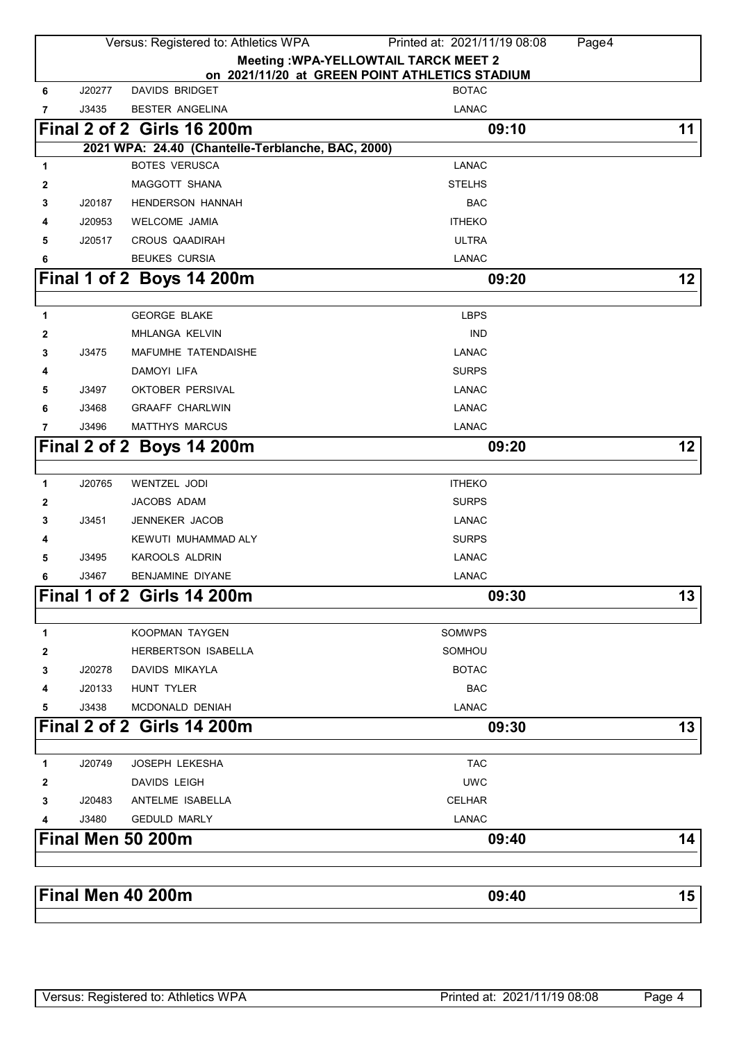|        |        | Versus: Registered to: Athletics WPA                                      | Printed at: 2021/11/19 08:08<br>Page4                          |    |
|--------|--------|---------------------------------------------------------------------------|----------------------------------------------------------------|----|
|        |        |                                                                           | <b>Meeting : WPA-YELLOWTAIL TARCK MEET 2</b>                   |    |
|        | J20277 | <b>DAVIDS BRIDGET</b>                                                     | on 2021/11/20 at GREEN POINT ATHLETICS STADIUM<br><b>BOTAC</b> |    |
| 6      |        |                                                                           | <b>LANAC</b>                                                   |    |
| 7      | J3435  | BESTER ANGELINA                                                           |                                                                |    |
|        |        | <b>Final 2 of 2 Girls 16 200m</b>                                         | 09:10                                                          | 11 |
|        |        | 2021 WPA: 24.40 (Chantelle-Terblanche, BAC, 2000)<br><b>BOTES VERUSCA</b> | <b>LANAC</b>                                                   |    |
| 1      |        | <b>MAGGOTT SHANA</b>                                                      | <b>STELHS</b>                                                  |    |
| 2<br>3 | J20187 | <b>HENDERSON HANNAH</b>                                                   | <b>BAC</b>                                                     |    |
| 4      | J20953 | <b>WELCOME JAMIA</b>                                                      | <b>ITHEKO</b>                                                  |    |
| 5      | J20517 | <b>CROUS QAADIRAH</b>                                                     | <b>ULTRA</b>                                                   |    |
| 6      |        | <b>BEUKES CURSIA</b>                                                      | <b>LANAC</b>                                                   |    |
|        |        |                                                                           |                                                                | 12 |
|        |        | Final 1 of 2 Boys 14 200m                                                 | 09:20                                                          |    |
| 1      |        | <b>GEORGE BLAKE</b>                                                       | <b>LBPS</b>                                                    |    |
| 2      |        | MHLANGA KELVIN                                                            | <b>IND</b>                                                     |    |
| 3      | J3475  | MAFUMHE TATENDAISHE                                                       | <b>LANAC</b>                                                   |    |
| 4      |        | DAMOYI LIFA                                                               | <b>SURPS</b>                                                   |    |
| 5      | J3497  | OKTOBER PERSIVAL                                                          | <b>LANAC</b>                                                   |    |
| 6      | J3468  | <b>GRAAFF CHARLWIN</b>                                                    | <b>LANAC</b>                                                   |    |
| 7      | J3496  | MATTHYS MARCUS                                                            | <b>LANAC</b>                                                   |    |
|        |        | Final 2 of 2 Boys 14 200m                                                 | 09:20                                                          | 12 |
|        |        |                                                                           |                                                                |    |
| 1      | J20765 | WENTZEL JODI                                                              | <b>ITHEKO</b>                                                  |    |
| 2      |        | JACOBS ADAM                                                               | <b>SURPS</b>                                                   |    |
| 3      | J3451  | <b>JENNEKER JACOB</b>                                                     | <b>LANAC</b>                                                   |    |
| 4      |        | KEWUTI MUHAMMAD ALY                                                       | <b>SURPS</b>                                                   |    |
| 5      | J3495  | <b>KAROOLS ALDRIN</b>                                                     | <b>LANAC</b>                                                   |    |
| 6      | J3467  | BENJAMINE DIYANE                                                          | <b>LANAC</b>                                                   |    |
|        |        | <b>Final 1 of 2 Girls 14 200m</b>                                         | 09:30                                                          | 13 |
| 1      |        | KOOPMAN TAYGEN                                                            | <b>SOMWPS</b>                                                  |    |
| 2      |        | <b>HERBERTSON ISABELLA</b>                                                | SOMHOU                                                         |    |
| 3      | J20278 | DAVIDS MIKAYLA                                                            | <b>BOTAC</b>                                                   |    |
| 4      | J20133 | <b>HUNT TYLER</b>                                                         | <b>BAC</b>                                                     |    |
| 5      | J3438  | MCDONALD DENIAH                                                           | <b>LANAC</b>                                                   |    |
|        |        | <b>Final 2 of 2 Girls 14 200m</b>                                         | 09:30                                                          | 13 |
|        |        |                                                                           |                                                                |    |
| 1      | J20749 | <b>JOSEPH LEKESHA</b>                                                     | <b>TAC</b>                                                     |    |
| 2      |        | <b>DAVIDS LEIGH</b>                                                       | <b>UWC</b>                                                     |    |
| 3      | J20483 | ANTELME ISABELLA                                                          | <b>CELHAR</b>                                                  |    |
| 4      | J3480  | <b>GEDULD MARLY</b>                                                       | <b>LANAC</b>                                                   |    |
|        |        | Final Men 50 200m                                                         | 09:40                                                          | 14 |
|        |        |                                                                           |                                                                |    |
|        |        | Final Men 40 200m                                                         | 09:40                                                          | 15 |
|        |        |                                                                           |                                                                |    |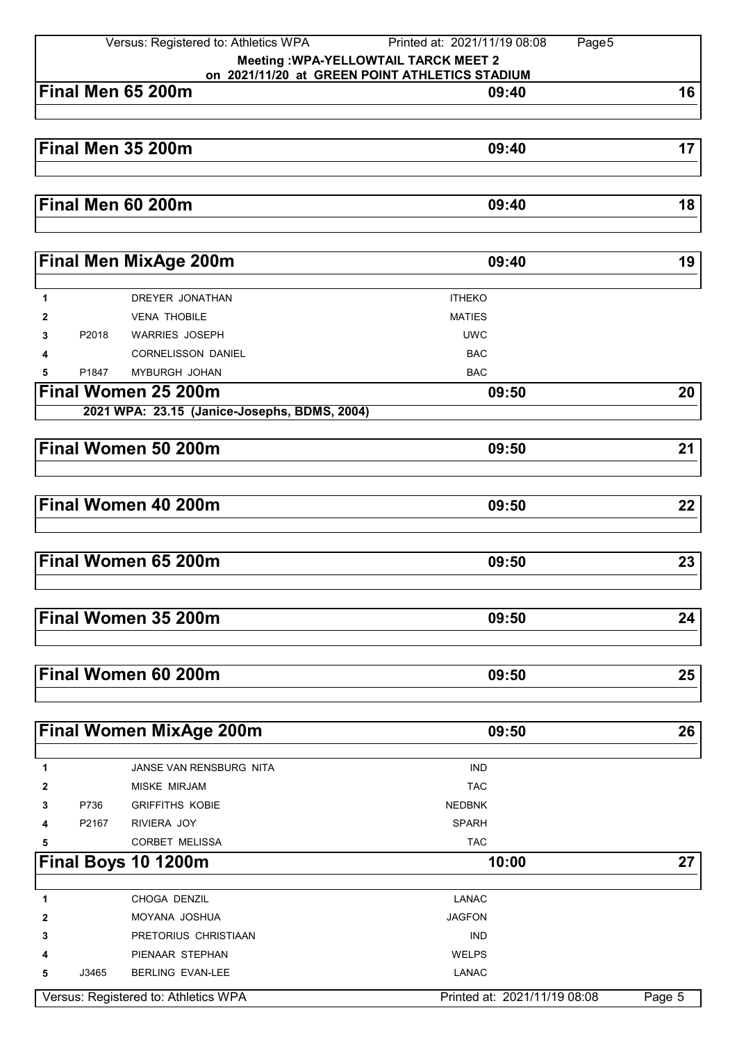| Versus: Registered to: Athletics WPA |       |                                              | Printed at: 2021/11/19 08:08<br>Page5          |    |
|--------------------------------------|-------|----------------------------------------------|------------------------------------------------|----|
|                                      |       |                                              | <b>Meeting : WPA-YELLOWTAIL TARCK MEET 2</b>   |    |
|                                      |       |                                              | on 2021/11/20 at GREEN POINT ATHLETICS STADIUM |    |
|                                      |       | Final Men 65 200m                            | 09:40                                          | 16 |
|                                      |       |                                              |                                                |    |
|                                      |       |                                              |                                                |    |
|                                      |       | Final Men 35 200m                            | 09:40                                          | 17 |
|                                      |       |                                              |                                                |    |
|                                      |       |                                              |                                                |    |
|                                      |       | Final Men 60 200m                            | 09:40                                          | 18 |
|                                      |       |                                              |                                                |    |
|                                      |       | <b>Final Men MixAge 200m</b>                 | 09:40                                          | 19 |
|                                      |       |                                              |                                                |    |
| 1                                    |       | DREYER JONATHAN                              | <b>ITHEKO</b>                                  |    |
| 2                                    |       | <b>VENA THOBILE</b>                          | <b>MATIES</b>                                  |    |
| 3                                    | P2018 | <b>WARRIES JOSEPH</b>                        | <b>UWC</b>                                     |    |
| 4                                    |       | <b>CORNELISSON DANIEL</b>                    | <b>BAC</b>                                     |    |
| 5                                    | P1847 | MYBURGH JOHAN                                | <b>BAC</b>                                     |    |
|                                      |       | Final Women 25 200m                          | 09:50                                          | 20 |
|                                      |       | 2021 WPA: 23.15 (Janice-Josephs, BDMS, 2004) |                                                |    |
|                                      |       |                                              |                                                |    |
|                                      |       | Final Women 50 200m                          | 09:50                                          | 21 |
|                                      |       |                                              |                                                |    |
|                                      |       |                                              |                                                |    |
|                                      |       | Final Women 40 200m                          | 09:50                                          | 22 |
|                                      |       |                                              |                                                |    |
|                                      |       |                                              |                                                |    |
|                                      |       | Final Women 65 200m                          | 09:50                                          | 23 |
|                                      |       |                                              |                                                |    |
|                                      |       |                                              |                                                |    |
|                                      |       | Final Women 35 200m                          | 09:50                                          | 24 |
|                                      |       |                                              |                                                |    |
|                                      |       |                                              |                                                |    |
|                                      |       | Final Women 60 200m                          | 09:50                                          | 25 |
|                                      |       |                                              |                                                |    |
|                                      |       |                                              |                                                |    |
|                                      |       | <b>Final Women MixAge 200m</b>               | 09:50                                          | 26 |
|                                      |       |                                              |                                                |    |
| 1                                    |       | <b>JANSE VAN RENSBURG NITA</b>               | <b>IND</b>                                     |    |
| 2                                    |       | <b>MISKE MIRJAM</b>                          | <b>TAC</b>                                     |    |
| 3                                    | P736  | <b>GRIFFITHS KOBIE</b>                       | <b>NEDBNK</b>                                  |    |
| 4                                    | P2167 | RIVIERA JOY                                  | <b>SPARH</b>                                   |    |
| 5                                    |       | <b>CORBET MELISSA</b>                        | <b>TAC</b>                                     |    |
|                                      |       | Final Boys 10 1200m                          | 10:00                                          | 27 |
|                                      |       |                                              |                                                |    |
| 1                                    |       | CHOGA DENZIL                                 | <b>LANAC</b>                                   |    |
| 2                                    |       | MOYANA JOSHUA                                | <b>JAGFON</b>                                  |    |
| 3                                    |       | PRETORIUS CHRISTIAAN                         | <b>IND</b>                                     |    |
| Δ                                    |       | PIENAAR STEPHAN                              | <b>WELPS</b>                                   |    |
| 5                                    | J3465 | BERLING EVAN-LEE                             | <b>LANAC</b>                                   |    |

Versus: Registered to: Athletics WPA Printed at: 2021/11/19 08:08 Page 5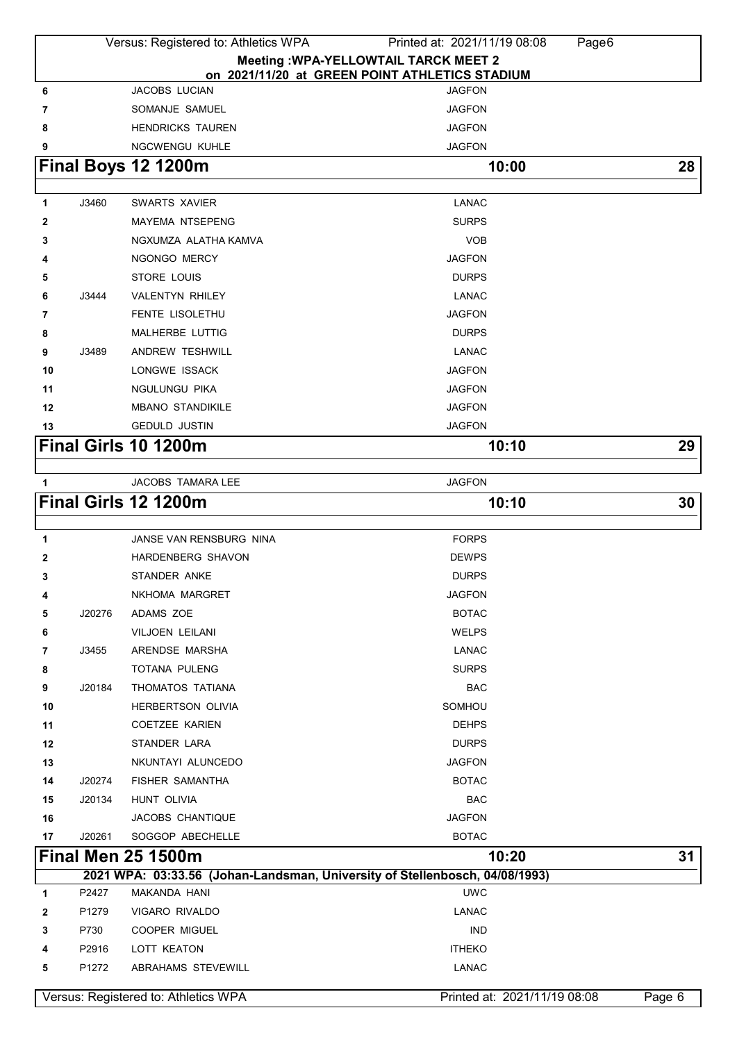| Versus: Registered to: Athletics WPA<br>Printed at: 2021/11/19 08:08<br>Page6 |        |                                      |                                                                             |        |
|-------------------------------------------------------------------------------|--------|--------------------------------------|-----------------------------------------------------------------------------|--------|
|                                                                               |        |                                      | <b>Meeting : WPA-YELLOWTAIL TARCK MEET 2</b>                                |        |
|                                                                               |        |                                      | on 2021/11/20 at GREEN POINT ATHLETICS STADIUM                              |        |
| 6                                                                             |        | JACOBS LUCIAN                        | <b>JAGFON</b>                                                               |        |
| 7                                                                             |        | SOMANJE SAMUEL                       | <b>JAGFON</b>                                                               |        |
| 8                                                                             |        | <b>HENDRICKS TAUREN</b>              | <b>JAGFON</b>                                                               |        |
| 9                                                                             |        | <b>NGCWENGU KUHLE</b>                | <b>JAGFON</b>                                                               |        |
|                                                                               |        | Final Boys 12 1200m                  | 10:00                                                                       | 28     |
|                                                                               | J3460  | <b>SWARTS XAVIER</b>                 |                                                                             |        |
| 1                                                                             |        | <b>MAYEMA NTSEPENG</b>               | <b>LANAC</b><br><b>SURPS</b>                                                |        |
| 2<br>3                                                                        |        | NGXUMZA ALATHA KAMVA                 | <b>VOB</b>                                                                  |        |
| 4                                                                             |        | NGONGO MERCY                         | <b>JAGFON</b>                                                               |        |
| 5                                                                             |        | STORE LOUIS                          | <b>DURPS</b>                                                                |        |
| 6                                                                             | J3444  | <b>VALENTYN RHILEY</b>               | <b>LANAC</b>                                                                |        |
| 7                                                                             |        | FENTE LISOLETHU                      | <b>JAGFON</b>                                                               |        |
|                                                                               |        | MALHERBE LUTTIG                      | <b>DURPS</b>                                                                |        |
| 8                                                                             | J3489  | <b>ANDREW TESHWILL</b>               | <b>LANAC</b>                                                                |        |
| 9                                                                             |        | <b>LONGWE ISSACK</b>                 | <b>JAGFON</b>                                                               |        |
| 10<br>11                                                                      |        | NGULUNGU PIKA                        | <b>JAGFON</b>                                                               |        |
| 12                                                                            |        | <b>MBANO STANDIKILE</b>              | <b>JAGFON</b>                                                               |        |
| 13                                                                            |        | <b>GEDULD JUSTIN</b>                 | <b>JAGFON</b>                                                               |        |
|                                                                               |        | Final Girls 10 1200m                 |                                                                             | 29     |
|                                                                               |        |                                      | 10:10                                                                       |        |
| 1                                                                             |        | <b>JACOBS TAMARA LEE</b>             | <b>JAGFON</b>                                                               |        |
|                                                                               |        | Final Girls 12 1200m                 | 10:10                                                                       | 30     |
|                                                                               |        |                                      |                                                                             |        |
| 1                                                                             |        | JANSE VAN RENSBURG NINA              | <b>FORPS</b>                                                                |        |
| 2                                                                             |        | <b>HARDENBERG SHAVON</b>             | <b>DEWPS</b>                                                                |        |
| 3                                                                             |        | <b>STANDER ANKE</b>                  | <b>DURPS</b>                                                                |        |
| 4                                                                             |        | NKHOMA MARGRET                       | <b>JAGFON</b>                                                               |        |
| 5                                                                             | J20276 | ADAMS ZOE                            | <b>BOTAC</b>                                                                |        |
| 6                                                                             |        | <b>VILJOEN LEILANI</b>               | <b>WELPS</b>                                                                |        |
| 7                                                                             | J3455  | ARENDSE MARSHA                       | <b>LANAC</b>                                                                |        |
| 8                                                                             |        | TOTANA PULENG                        | <b>SURPS</b>                                                                |        |
| 9                                                                             | J20184 | THOMATOS TATIANA                     | <b>BAC</b>                                                                  |        |
| 10                                                                            |        | <b>HERBERTSON OLIVIA</b>             | SOMHOU                                                                      |        |
| 11                                                                            |        | <b>COETZEE KARIEN</b>                | <b>DEHPS</b>                                                                |        |
| 12                                                                            |        | STANDER LARA                         | <b>DURPS</b>                                                                |        |
| 13                                                                            |        | NKUNTAYI ALUNCEDO                    | <b>JAGFON</b>                                                               |        |
| 14                                                                            | J20274 | <b>FISHER SAMANTHA</b>               | <b>BOTAC</b>                                                                |        |
| 15                                                                            | J20134 | HUNT OLIVIA                          | <b>BAC</b>                                                                  |        |
| 16                                                                            |        | JACOBS CHANTIQUE                     | <b>JAGFON</b>                                                               |        |
| 17                                                                            | J20261 | SOGGOP ABECHELLE                     | <b>BOTAC</b>                                                                |        |
|                                                                               |        | <b>Final Men 25 1500m</b>            | 10:20                                                                       | 31     |
|                                                                               |        |                                      | 2021 WPA: 03:33.56 (Johan-Landsman, University of Stellenbosch, 04/08/1993) |        |
| 1                                                                             | P2427  | MAKANDA HANI                         | <b>UWC</b>                                                                  |        |
| 2                                                                             | P1279  | VIGARO RIVALDO                       | <b>LANAC</b>                                                                |        |
| 3                                                                             | P730   | COOPER MIGUEL                        | <b>IND</b>                                                                  |        |
| 4                                                                             | P2916  | LOTT KEATON                          | <b>ITHEKO</b>                                                               |        |
| 5                                                                             | P1272  | ABRAHAMS STEVEWILL                   | <b>LANAC</b>                                                                |        |
|                                                                               |        |                                      |                                                                             |        |
|                                                                               |        | Versus: Registered to: Athletics WPA | Printed at: 2021/11/19 08:08                                                | Page 6 |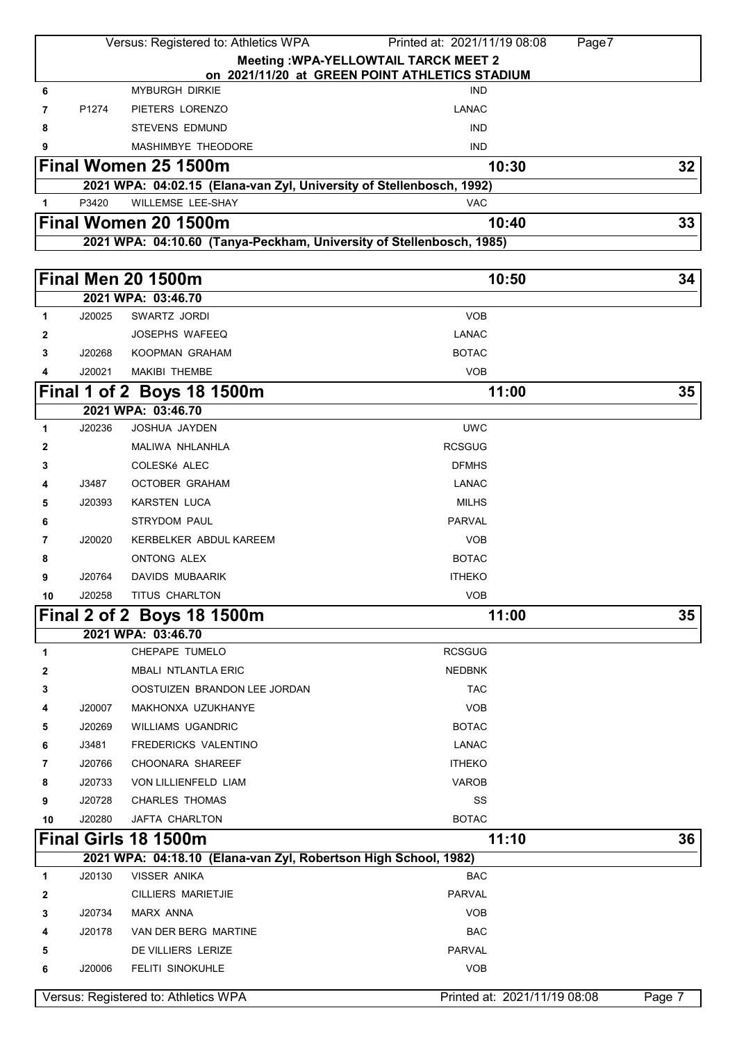|    | Versus: Registered to: Athletics WPA<br>Printed at: 2021/11/19 08:08<br>Page7  |                                                                      |                                                |    |  |  |
|----|--------------------------------------------------------------------------------|----------------------------------------------------------------------|------------------------------------------------|----|--|--|
|    |                                                                                |                                                                      | <b>Meeting : WPA-YELLOWTAIL TARCK MEET 2</b>   |    |  |  |
|    |                                                                                |                                                                      | on 2021/11/20 at GREEN POINT ATHLETICS STADIUM |    |  |  |
| 6  |                                                                                | <b>MYBURGH DIRKIE</b>                                                | <b>IND</b>                                     |    |  |  |
| 7  | P1274                                                                          | PIETERS LORENZO                                                      | <b>LANAC</b>                                   |    |  |  |
| 8  |                                                                                | <b>STEVENS EDMUND</b>                                                | <b>IND</b>                                     |    |  |  |
| 9  |                                                                                | MASHIMBYE THEODORE                                                   | <b>IND</b>                                     |    |  |  |
|    |                                                                                | Final Women 25 1500m                                                 | 10:30                                          | 32 |  |  |
|    |                                                                                | 2021 WPA: 04:02.15 (Elana-van Zyl, University of Stellenbosch, 1992) |                                                |    |  |  |
| 1  | P3420                                                                          | WILLEMSE LEE-SHAY                                                    | <b>VAC</b>                                     |    |  |  |
|    |                                                                                | Final Women 20 1500m                                                 | 10:40                                          | 33 |  |  |
|    |                                                                                | 2021 WPA: 04:10.60 (Tanya-Peckham, University of Stellenbosch, 1985) |                                                |    |  |  |
|    |                                                                                |                                                                      |                                                |    |  |  |
|    |                                                                                | <b>Final Men 20 1500m</b>                                            | 10:50                                          | 34 |  |  |
|    |                                                                                | 2021 WPA: 03:46.70                                                   |                                                |    |  |  |
| 1  | J20025                                                                         | SWARTZ JORDI                                                         | <b>VOB</b>                                     |    |  |  |
| 2  |                                                                                | <b>JOSEPHS WAFEEQ</b>                                                | LANAC                                          |    |  |  |
| 3  | J20268                                                                         | KOOPMAN GRAHAM                                                       | <b>BOTAC</b>                                   |    |  |  |
| 4  | J20021                                                                         | <b>MAKIBI THEMBE</b>                                                 | <b>VOB</b>                                     |    |  |  |
|    |                                                                                | Final 1 of 2 Boys 18 1500m                                           | 11:00                                          | 35 |  |  |
|    |                                                                                | 2021 WPA: 03:46.70                                                   |                                                |    |  |  |
| 1  | J20236                                                                         | JOSHUA JAYDEN                                                        | <b>UWC</b>                                     |    |  |  |
| 2  |                                                                                | MALIWA NHLANHLA                                                      | <b>RCSGUG</b>                                  |    |  |  |
| 3  |                                                                                | COLESKé ALEC                                                         | <b>DFMHS</b>                                   |    |  |  |
| 4  | J3487                                                                          | <b>OCTOBER GRAHAM</b>                                                | <b>LANAC</b>                                   |    |  |  |
| 5  | J20393                                                                         | <b>KARSTEN LUCA</b>                                                  | <b>MILHS</b>                                   |    |  |  |
| 6  |                                                                                | <b>STRYDOM PAUL</b>                                                  | <b>PARVAL</b>                                  |    |  |  |
| 7  | J20020                                                                         | KERBELKER ABDUL KAREEM                                               | <b>VOB</b>                                     |    |  |  |
| 8  |                                                                                | ONTONG ALEX                                                          | <b>BOTAC</b>                                   |    |  |  |
| 9  | J20764                                                                         | <b>DAVIDS MUBAARIK</b>                                               | <b>ITHEKO</b>                                  |    |  |  |
| 10 | J20258                                                                         | TITUS CHARLTON                                                       | <b>VOB</b>                                     |    |  |  |
|    |                                                                                | Final 2 of 2 Boys 18 1500m                                           | 11:00                                          | 35 |  |  |
|    |                                                                                | 2021 WPA: 03:46.70                                                   |                                                |    |  |  |
| 1  |                                                                                | CHEPAPE TUMELO                                                       | <b>RCSGUG</b>                                  |    |  |  |
| 2  |                                                                                | <b>MBALI NTLANTLA ERIC</b>                                           | <b>NEDBNK</b>                                  |    |  |  |
| 3  |                                                                                | OOSTUIZEN BRANDON LEE JORDAN                                         | <b>TAC</b>                                     |    |  |  |
| 4  | J20007                                                                         | MAKHONXA UZUKHANYE                                                   | <b>VOB</b>                                     |    |  |  |
| 5  | J20269                                                                         | <b>WILLIAMS UGANDRIC</b>                                             | <b>BOTAC</b>                                   |    |  |  |
| 6  | J3481                                                                          | FREDERICKS VALENTINO                                                 | LANAC                                          |    |  |  |
| 7  | J20766                                                                         | <b>CHOONARA SHAREEF</b>                                              | <b>ITHEKO</b>                                  |    |  |  |
| 8  | J20733                                                                         | VON LILLIENFELD LIAM                                                 | <b>VAROB</b>                                   |    |  |  |
| 9  | J20728                                                                         | CHARLES THOMAS                                                       | SS                                             |    |  |  |
| 10 | J20280                                                                         | JAFTA CHARLTON                                                       | <b>BOTAC</b>                                   |    |  |  |
|    |                                                                                | Final Girls 18 1500m                                                 | 11:10                                          | 36 |  |  |
|    |                                                                                | 2021 WPA: 04:18.10 (Elana-van Zyl, Robertson High School, 1982)      |                                                |    |  |  |
| 1  | J20130                                                                         | <b>VISSER ANIKA</b>                                                  | <b>BAC</b>                                     |    |  |  |
| 2  |                                                                                | <b>CILLIERS MARIETJIE</b>                                            | PARVAL                                         |    |  |  |
| 3  | J20734                                                                         | MARX ANNA                                                            | <b>VOB</b>                                     |    |  |  |
| 4  | J20178                                                                         | VAN DER BERG MARTINE                                                 | <b>BAC</b>                                     |    |  |  |
| 5  |                                                                                | DE VILLIERS LERIZE                                                   | PARVAL                                         |    |  |  |
| 6  | J20006                                                                         | <b>FELITI SINOKUHLE</b>                                              | <b>VOB</b>                                     |    |  |  |
|    |                                                                                |                                                                      |                                                |    |  |  |
|    | Versus: Registered to: Athletics WPA<br>Printed at: 2021/11/19 08:08<br>Page 7 |                                                                      |                                                |    |  |  |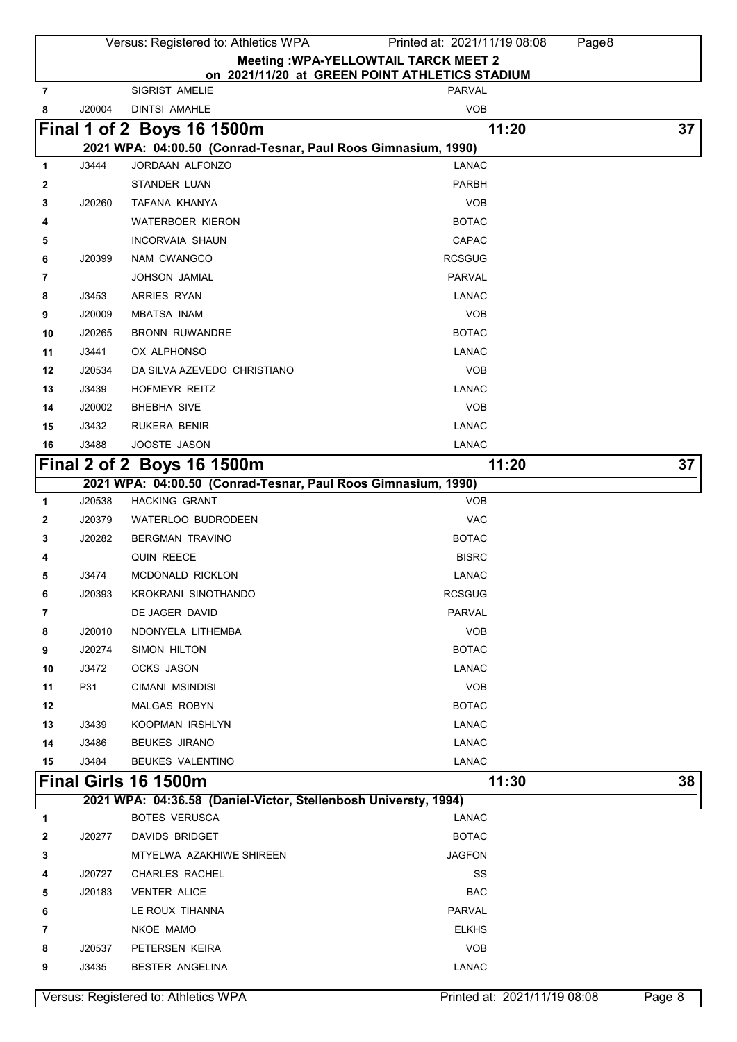|    |                                                                                | Versus: Registered to: Athletics WPA                            | Printed at: 2021/11/19 08:08<br>Page8          |    |  |
|----|--------------------------------------------------------------------------------|-----------------------------------------------------------------|------------------------------------------------|----|--|
|    |                                                                                |                                                                 | <b>Meeting : WPA-YELLOWTAIL TARCK MEET 2</b>   |    |  |
|    |                                                                                |                                                                 | on 2021/11/20 at GREEN POINT ATHLETICS STADIUM |    |  |
| 7  |                                                                                | SIGRIST AMELIE                                                  | PARVAL                                         |    |  |
| 8  | J20004                                                                         | <b>DINTSI AMAHLE</b>                                            | <b>VOB</b>                                     |    |  |
|    |                                                                                | Final 1 of 2 Boys 16 1500m                                      | 11:20                                          | 37 |  |
|    |                                                                                | 2021 WPA: 04:00.50 (Conrad-Tesnar, Paul Roos Gimnasium, 1990)   |                                                |    |  |
| 1  | J3444                                                                          | JORDAAN ALFONZO                                                 | LANAC                                          |    |  |
| 2  |                                                                                | STANDER LUAN                                                    | PARBH                                          |    |  |
| 3  | J20260                                                                         | TAFANA KHANYA                                                   | <b>VOB</b>                                     |    |  |
| 4  |                                                                                | <b>WATERBOER KIERON</b>                                         | <b>BOTAC</b>                                   |    |  |
| 5  |                                                                                | <b>INCORVAIA SHAUN</b>                                          | <b>CAPAC</b>                                   |    |  |
| 6  | J20399                                                                         | NAM CWANGCO                                                     | <b>RCSGUG</b>                                  |    |  |
| 7  |                                                                                | <b>JOHSON JAMIAL</b>                                            | <b>PARVAL</b>                                  |    |  |
| 8  | J3453                                                                          | ARRIES RYAN                                                     | LANAC                                          |    |  |
| 9  | J20009                                                                         | <b>MBATSA INAM</b>                                              | <b>VOB</b>                                     |    |  |
| 10 | J20265                                                                         | <b>BRONN RUWANDRE</b>                                           | <b>BOTAC</b>                                   |    |  |
| 11 | J3441                                                                          | OX ALPHONSO                                                     | <b>LANAC</b>                                   |    |  |
| 12 | J20534                                                                         | DA SILVA AZEVEDO CHRISTIANO                                     | <b>VOB</b>                                     |    |  |
| 13 | J3439                                                                          | HOFMEYR REITZ                                                   | <b>LANAC</b>                                   |    |  |
| 14 | J20002                                                                         | <b>BHEBHA SIVE</b>                                              | <b>VOB</b>                                     |    |  |
| 15 | J3432                                                                          | RUKERA BENIR                                                    | <b>LANAC</b>                                   |    |  |
| 16 | J3488                                                                          | JOOSTE JASON                                                    | <b>LANAC</b>                                   |    |  |
|    |                                                                                | Final 2 of 2 Boys 16 1500m                                      | 11:20                                          | 37 |  |
|    |                                                                                | 2021 WPA: 04:00.50 (Conrad-Tesnar, Paul Roos Gimnasium, 1990)   |                                                |    |  |
| 1  | J20538                                                                         | <b>HACKING GRANT</b>                                            | <b>VOB</b>                                     |    |  |
| 2  | J20379                                                                         | WATERLOO BUDRODEEN                                              | <b>VAC</b>                                     |    |  |
| 3  | J20282                                                                         | <b>BERGMAN TRAVINO</b>                                          | <b>BOTAC</b>                                   |    |  |
| 4  |                                                                                | <b>QUIN REECE</b>                                               | <b>BISRC</b>                                   |    |  |
| 5  | J3474                                                                          | MCDONALD RICKLON                                                | <b>LANAC</b>                                   |    |  |
| 6  | J20393                                                                         | KROKRANI SINOTHANDO                                             | <b>RCSGUG</b>                                  |    |  |
| 7  |                                                                                | DE JAGER DAVID                                                  | PARVAL                                         |    |  |
| 8  | J20010                                                                         | NDONYELA LITHEMBA                                               | <b>VOB</b>                                     |    |  |
| 9  | J20274                                                                         | SIMON HILTON                                                    | <b>BOTAC</b>                                   |    |  |
| 10 | J3472                                                                          | OCKS JASON                                                      | <b>LANAC</b>                                   |    |  |
| 11 | P31                                                                            | CIMANI MSINDISI                                                 | <b>VOB</b>                                     |    |  |
| 12 |                                                                                | MALGAS ROBYN                                                    | <b>BOTAC</b>                                   |    |  |
| 13 | J3439                                                                          | <b>KOOPMAN IRSHLYN</b>                                          | <b>LANAC</b>                                   |    |  |
| 14 | J3486                                                                          | <b>BEUKES JIRANO</b>                                            | <b>LANAC</b>                                   |    |  |
| 15 | J3484                                                                          | BEUKES VALENTINO                                                | <b>LANAC</b>                                   |    |  |
|    |                                                                                | Final Girls 16 1500m                                            | 11:30                                          | 38 |  |
|    |                                                                                | 2021 WPA: 04:36.58 (Daniel-Victor, Stellenbosh Universty, 1994) |                                                |    |  |
| 1  |                                                                                | <b>BOTES VERUSCA</b>                                            | <b>LANAC</b>                                   |    |  |
| 2  | J20277                                                                         | DAVIDS BRIDGET                                                  | <b>BOTAC</b>                                   |    |  |
| 3  |                                                                                | MTYELWA AZAKHIWE SHIREEN                                        | <b>JAGFON</b>                                  |    |  |
| 4  | J20727                                                                         | <b>CHARLES RACHEL</b>                                           | SS                                             |    |  |
| 5  | J20183                                                                         | <b>VENTER ALICE</b>                                             | <b>BAC</b>                                     |    |  |
| 6  |                                                                                | LE ROUX TIHANNA                                                 | PARVAL                                         |    |  |
| 7  |                                                                                | NKOE MAMO                                                       | <b>ELKHS</b>                                   |    |  |
| 8  | J20537                                                                         | PETERSEN KEIRA                                                  | <b>VOB</b>                                     |    |  |
| 9  | J3435                                                                          | BESTER ANGELINA                                                 | <b>LANAC</b>                                   |    |  |
|    |                                                                                |                                                                 |                                                |    |  |
|    | Versus: Registered to: Athletics WPA<br>Printed at: 2021/11/19 08:08<br>Page 8 |                                                                 |                                                |    |  |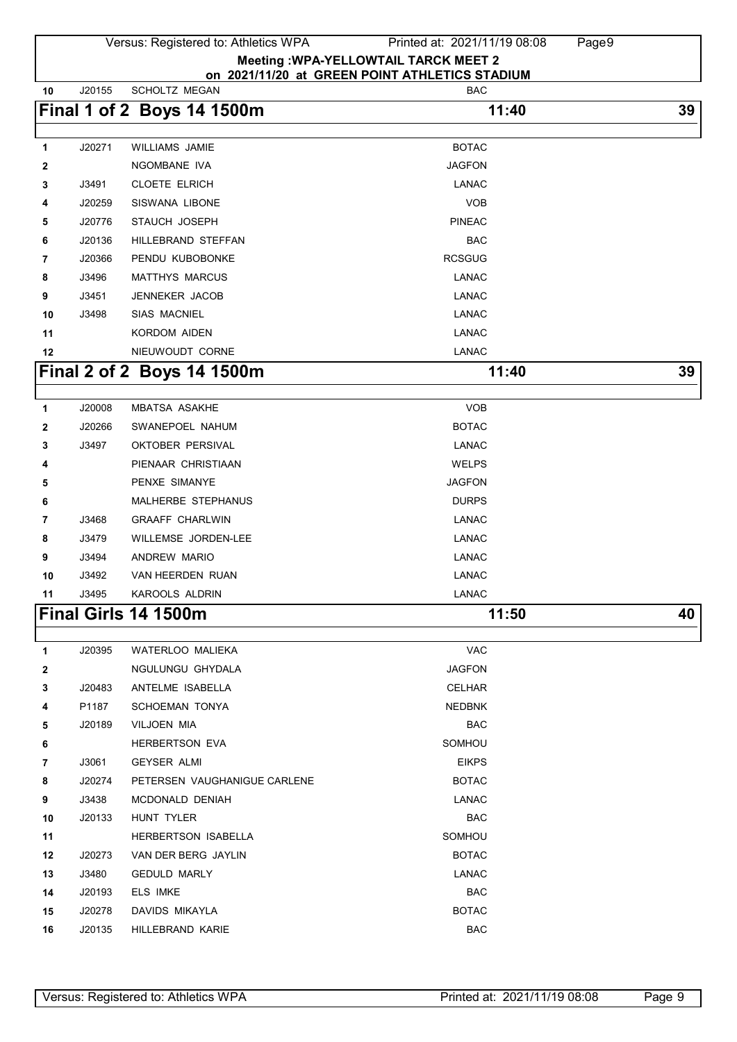|             |        | Versus: Registered to: Athletics WPA                            | Printed at: 2021/11/19 08:08 | Page9 |
|-------------|--------|-----------------------------------------------------------------|------------------------------|-------|
|             |        | <b>Meeting : WPA-YELLOWTAIL TARCK MEET 2</b>                    |                              |       |
| 10          | J20155 | on 2021/11/20 at GREEN POINT ATHLETICS STADIUM<br>SCHOLTZ MEGAN | <b>BAC</b>                   |       |
|             |        | Final 1 of 2 Boys 14 1500m                                      | 11:40                        | 39    |
|             |        |                                                                 |                              |       |
| 1           | J20271 | <b>WILLIAMS JAMIE</b>                                           | <b>BOTAC</b>                 |       |
| 2           |        | NGOMBANE IVA                                                    | <b>JAGFON</b>                |       |
| 3           | J3491  | <b>CLOETE ELRICH</b>                                            | <b>LANAC</b>                 |       |
| 4           | J20259 | SISWANA LIBONE                                                  | <b>VOB</b>                   |       |
| 5           | J20776 | STAUCH JOSEPH                                                   | <b>PINEAC</b>                |       |
| 6           | J20136 | HILLEBRAND STEFFAN                                              | <b>BAC</b>                   |       |
| 7           | J20366 | PENDU KUBOBONKE                                                 | <b>RCSGUG</b>                |       |
| 8           | J3496  | <b>MATTHYS MARCUS</b>                                           | <b>LANAC</b>                 |       |
| 9           | J3451  | <b>JENNEKER JACOB</b>                                           | <b>LANAC</b>                 |       |
| 10          | J3498  | <b>SIAS MACNIEL</b>                                             | <b>LANAC</b>                 |       |
| 11          |        | <b>KORDOM AIDEN</b>                                             | <b>LANAC</b>                 |       |
| 12          |        | NIEUWOUDT CORNE                                                 | <b>LANAC</b>                 |       |
|             |        | Final 2 of 2 Boys 14 1500m                                      | 11:40                        | 39    |
|             |        |                                                                 |                              |       |
| 1           | J20008 | <b>MBATSA ASAKHE</b>                                            | <b>VOB</b>                   |       |
| 2           | J20266 | SWANEPOEL NAHUM                                                 | <b>BOTAC</b>                 |       |
| 3           | J3497  | <b>OKTOBER PERSIVAL</b>                                         | <b>LANAC</b>                 |       |
| 4           |        | PIENAAR CHRISTIAAN                                              | <b>WELPS</b>                 |       |
| 5           |        | PENXE SIMANYE                                                   | <b>JAGFON</b>                |       |
| 6           |        | MALHERBE STEPHANUS                                              | <b>DURPS</b>                 |       |
| 7           | J3468  | <b>GRAAFF CHARLWIN</b>                                          | <b>LANAC</b>                 |       |
| 8           | J3479  | <b>WILLEMSE JORDEN-LEE</b>                                      | <b>LANAC</b>                 |       |
| 9           | J3494  | ANDREW MARIO                                                    | <b>LANAC</b>                 |       |
| 10          | J3492  | VAN HEERDEN RUAN                                                | LANAC                        |       |
| - 11        | J3495  | KAROOLS ALDRIN                                                  | <b>LANAC</b>                 |       |
|             |        | <b>Final Girls 14 1500m</b>                                     | 11:50                        | 40    |
| $\mathbf 1$ | J20395 | WATERLOO MALIEKA                                                | VAC                          |       |
| 2           |        | NGULUNGU GHYDALA                                                | <b>JAGFON</b>                |       |
| 3           | J20483 | ANTELME ISABELLA                                                | <b>CELHAR</b>                |       |
| 4           | P1187  | <b>SCHOEMAN TONYA</b>                                           | <b>NEDBNK</b>                |       |
| 5           | J20189 | VILJOEN MIA                                                     | <b>BAC</b>                   |       |
| 6           |        | HERBERTSON EVA                                                  | SOMHOU                       |       |
| 7           | J3061  | <b>GEYSER ALMI</b>                                              | <b>EIKPS</b>                 |       |
| 8           | J20274 | PETERSEN VAUGHANIGUE CARLENE                                    | <b>BOTAC</b>                 |       |
| 9           | J3438  | MCDONALD DENIAH                                                 | LANAC                        |       |
| 10          | J20133 | HUNT TYLER                                                      | <b>BAC</b>                   |       |
| 11          |        | HERBERTSON ISABELLA                                             | SOMHOU                       |       |
| 12          | J20273 | VAN DER BERG JAYLIN                                             | <b>BOTAC</b>                 |       |
| 13          | J3480  | <b>GEDULD MARLY</b>                                             | <b>LANAC</b>                 |       |
| 14          | J20193 | ELS IMKE                                                        | <b>BAC</b>                   |       |
| 15          | J20278 | DAVIDS MIKAYLA                                                  | <b>BOTAC</b>                 |       |
| 16          | J20135 | HILLEBRAND KARIE                                                | <b>BAC</b>                   |       |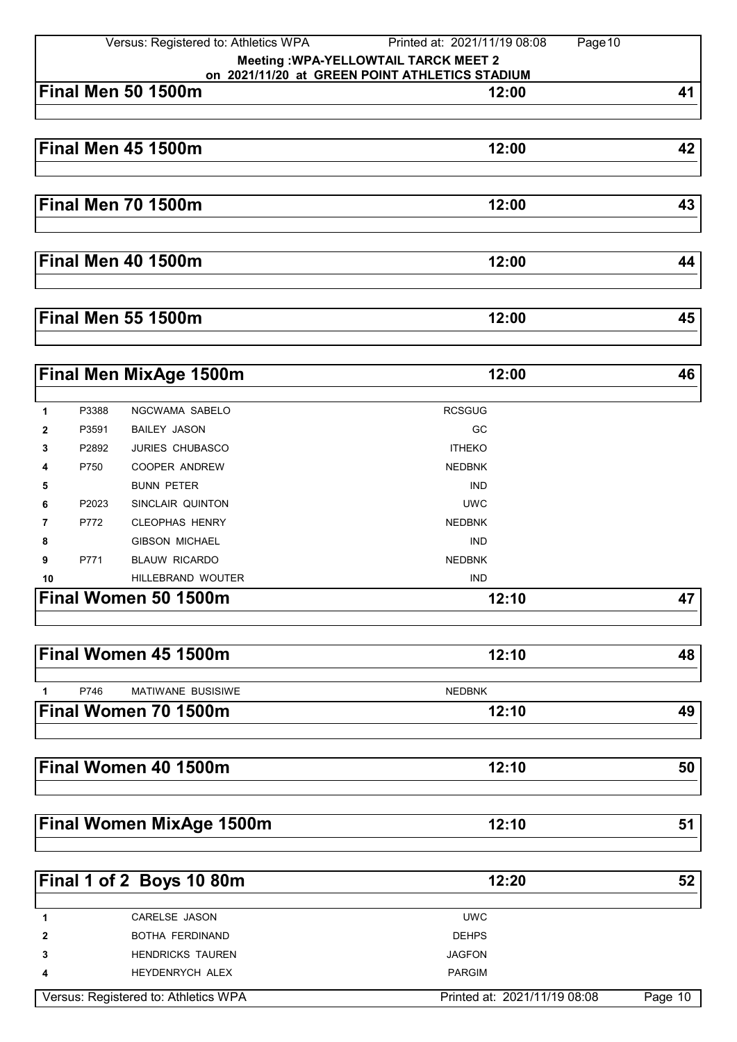|    | Versus: Registered to: Athletics WPA<br>Printed at: 2021/11/19 08:08<br>Page 10                |                                 |               |    |  |  |
|----|------------------------------------------------------------------------------------------------|---------------------------------|---------------|----|--|--|
|    | <b>Meeting : WPA-YELLOWTAIL TARCK MEET 2</b><br>on 2021/11/20 at GREEN POINT ATHLETICS STADIUM |                                 |               |    |  |  |
|    |                                                                                                | Final Men 50 1500m              | 12:00         | 41 |  |  |
|    |                                                                                                |                                 |               |    |  |  |
|    |                                                                                                |                                 |               |    |  |  |
|    |                                                                                                | Final Men 45 1500m              | 12:00         | 42 |  |  |
|    |                                                                                                |                                 |               |    |  |  |
|    |                                                                                                |                                 |               |    |  |  |
|    |                                                                                                | <b>Final Men 70 1500m</b>       | 12:00         | 43 |  |  |
|    |                                                                                                |                                 |               |    |  |  |
|    |                                                                                                |                                 |               |    |  |  |
|    |                                                                                                | <b>Final Men 40 1500m</b>       | 12:00         | 44 |  |  |
|    |                                                                                                |                                 |               |    |  |  |
|    |                                                                                                |                                 |               |    |  |  |
|    |                                                                                                | <b>Final Men 55 1500m</b>       | 12:00         | 45 |  |  |
|    |                                                                                                | <b>Final Men MixAge 1500m</b>   | 12:00         | 46 |  |  |
|    |                                                                                                |                                 |               |    |  |  |
| 1  | P3388                                                                                          | NGCWAMA SABELO                  | <b>RCSGUG</b> |    |  |  |
| 2  | P3591                                                                                          | <b>BAILEY JASON</b>             | GC            |    |  |  |
| 3  | P2892                                                                                          | <b>JURIES CHUBASCO</b>          | <b>ITHEKO</b> |    |  |  |
| 4  | P750                                                                                           | <b>COOPER ANDREW</b>            | <b>NEDBNK</b> |    |  |  |
| 5  |                                                                                                | <b>BUNN PETER</b>               | <b>IND</b>    |    |  |  |
| 6  | P2023                                                                                          | SINCLAIR QUINTON                | <b>UWC</b>    |    |  |  |
| 7  | P772                                                                                           | <b>CLEOPHAS HENRY</b>           | <b>NEDBNK</b> |    |  |  |
| 8  |                                                                                                | <b>GIBSON MICHAEL</b>           | <b>IND</b>    |    |  |  |
| 9  | P771                                                                                           | <b>BLAUW RICARDO</b>            | <b>NEDBNK</b> |    |  |  |
| 10 |                                                                                                | <b>HILLEBRAND WOUTER</b>        | <b>IND</b>    |    |  |  |
|    |                                                                                                | Final Women 50 1500m            | 12:10         | 47 |  |  |
|    |                                                                                                |                                 |               |    |  |  |
|    |                                                                                                | Final Women 45 1500m            | 12:10         | 48 |  |  |
|    |                                                                                                |                                 |               |    |  |  |
| 1  | P746                                                                                           | <b>MATIWANE BUSISIWE</b>        | <b>NEDBNK</b> |    |  |  |
|    |                                                                                                | Final Women 70 1500m            | 12:10         | 49 |  |  |
|    |                                                                                                |                                 |               |    |  |  |
|    |                                                                                                | Final Women 40 1500m            | 12:10         | 50 |  |  |
|    |                                                                                                |                                 |               |    |  |  |
|    |                                                                                                | <b>Final Women MixAge 1500m</b> | 12:10         | 51 |  |  |
|    |                                                                                                |                                 |               |    |  |  |
|    |                                                                                                | Final 1 of 2 Boys 10 80m        | 12:20         | 52 |  |  |
|    |                                                                                                |                                 |               |    |  |  |
| 1  |                                                                                                | CARELSE JASON                   | <b>UWC</b>    |    |  |  |
| 2  |                                                                                                | BOTHA FERDINAND                 | <b>DEHPS</b>  |    |  |  |

**4** HEYDENRYCH ALEX **PARGIM** Versus: Registered to: Athletics WPA Printed at: 2021/11/19 08:08 Page 10

**3** HENDRICKS TAUREN **IMPLICKS** TAUREN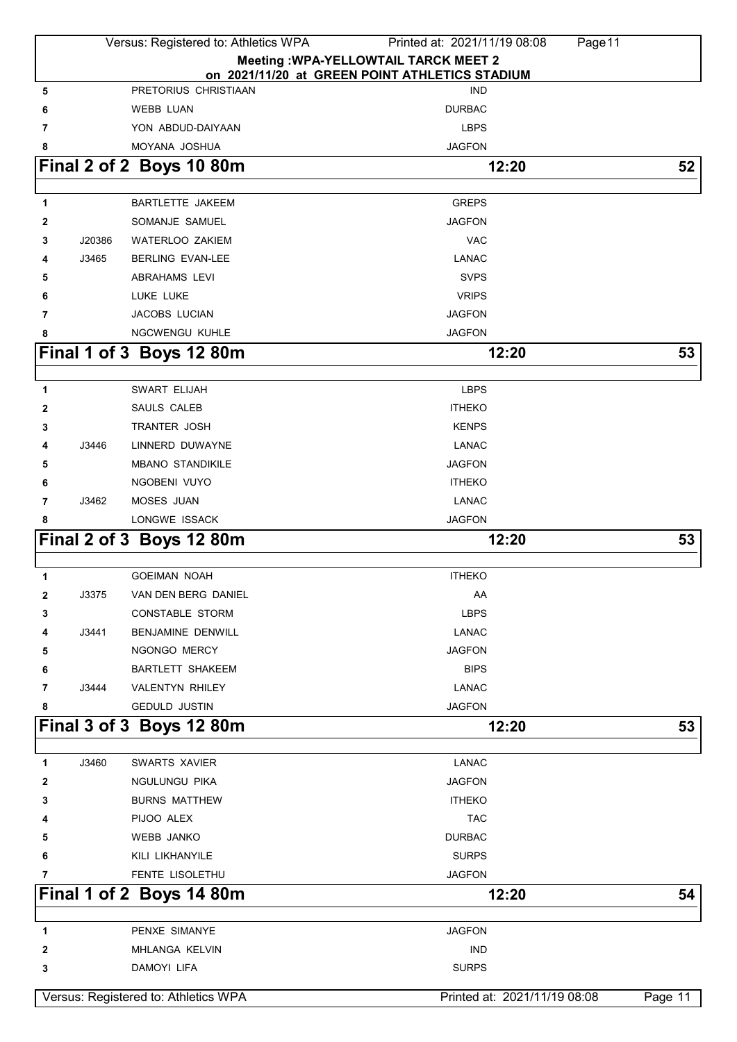|              |        | Versus: Registered to: Athletics WPA | Printed at: 2021/11/19 08:08                   | Page 11                      |         |
|--------------|--------|--------------------------------------|------------------------------------------------|------------------------------|---------|
|              |        |                                      | <b>Meeting : WPA-YELLOWTAIL TARCK MEET 2</b>   |                              |         |
|              |        |                                      | on 2021/11/20 at GREEN POINT ATHLETICS STADIUM |                              |         |
| 5            |        | PRETORIUS CHRISTIAAN                 | <b>IND</b>                                     |                              |         |
| 6            |        | <b>WEBB LUAN</b>                     | <b>DURBAC</b>                                  |                              |         |
| 7            |        | YON ABDUD-DAIYAAN                    | <b>LBPS</b>                                    |                              |         |
| 8            |        | MOYANA JOSHUA                        | <b>JAGFON</b>                                  |                              |         |
|              |        | Final 2 of 2 Boys 10 80m             |                                                | 12:20                        | 52      |
|              |        |                                      |                                                |                              |         |
| 1            |        | <b>BARTLETTE JAKEEM</b>              | <b>GREPS</b>                                   |                              |         |
| 2            |        | SOMANJE SAMUEL                       | <b>JAGFON</b>                                  |                              |         |
| 3            | J20386 | <b>WATERLOO ZAKIEM</b>               | <b>VAC</b>                                     |                              |         |
| 4            | J3465  | <b>BERLING EVAN-LEE</b>              | <b>LANAC</b>                                   |                              |         |
| 5            |        | <b>ABRAHAMS LEVI</b>                 | <b>SVPS</b>                                    |                              |         |
| 6            |        | LUKE LUKE                            | <b>VRIPS</b>                                   |                              |         |
| 7            |        | JACOBS LUCIAN                        | <b>JAGFON</b>                                  |                              |         |
| 8            |        | <b>NGCWENGU KUHLE</b>                | <b>JAGFON</b>                                  |                              |         |
|              |        | Final 1 of 3 Boys 12 80m             |                                                | 12:20                        | 53      |
|              |        |                                      |                                                |                              |         |
| 1            |        | SWART ELIJAH                         | <b>LBPS</b>                                    |                              |         |
| 2            |        | SAULS CALEB                          | <b>ITHEKO</b>                                  |                              |         |
| 3            |        | <b>TRANTER JOSH</b>                  | <b>KENPS</b>                                   |                              |         |
| 4            | J3446  | LINNERD DUWAYNE                      | <b>LANAC</b>                                   |                              |         |
| 5            |        | <b>MBANO STANDIKILE</b>              | <b>JAGFON</b>                                  |                              |         |
| 6            |        | NGOBENI VUYO                         | <b>ITHEKO</b>                                  |                              |         |
| 7            | J3462  | MOSES JUAN<br>LONGWE ISSACK          | LANAC                                          |                              |         |
| 8            |        |                                      | <b>JAGFON</b>                                  |                              |         |
|              |        | Final 2 of 3 Boys 12 80m             |                                                | 12:20                        | 53      |
| 1            |        | <b>GOEIMAN NOAH</b>                  | <b>ITHEKO</b>                                  |                              |         |
| $\mathbf{2}$ | J3375  | VAN DEN BERG DANIEL                  | AA                                             |                              |         |
| 3            |        | <b>CONSTABLE STORM</b>               | <b>LBPS</b>                                    |                              |         |
| 4            | J3441  | BENJAMINE DENWILL                    | <b>LANAC</b>                                   |                              |         |
| 5            |        | NGONGO MERCY                         | <b>JAGFON</b>                                  |                              |         |
| 6            |        | <b>BARTLETT SHAKEEM</b>              | <b>BIPS</b>                                    |                              |         |
| 7            | J3444  | <b>VALENTYN RHILEY</b>               | <b>LANAC</b>                                   |                              |         |
| 8            |        | <b>GEDULD JUSTIN</b>                 | <b>JAGFON</b>                                  |                              |         |
|              |        | Final 3 of 3 Boys 12 80m             |                                                | 12:20                        | 53      |
|              |        |                                      |                                                |                              |         |
| 1            | J3460  | <b>SWARTS XAVIER</b>                 | <b>LANAC</b>                                   |                              |         |
| 2            |        | NGULUNGU PIKA                        | <b>JAGFON</b>                                  |                              |         |
| 3            |        | <b>BURNS MATTHEW</b>                 | <b>ITHEKO</b>                                  |                              |         |
| 4            |        | PIJOO ALEX                           | <b>TAC</b>                                     |                              |         |
| 5            |        | <b>WEBB JANKO</b>                    | <b>DURBAC</b>                                  |                              |         |
| 6            |        | KILI LIKHANYILE                      | <b>SURPS</b>                                   |                              |         |
| 7            |        | FENTE LISOLETHU                      | <b>JAGFON</b>                                  |                              |         |
|              |        | Final 1 of 2 Boys 14 80m             |                                                | 12:20                        | 54      |
|              |        |                                      |                                                |                              |         |
| 1            |        | PENXE SIMANYE                        | <b>JAGFON</b>                                  |                              |         |
| 2            |        | MHLANGA KELVIN                       | <b>IND</b>                                     |                              |         |
| 3            |        | DAMOYI LIFA                          | <b>SURPS</b>                                   |                              |         |
|              |        |                                      |                                                |                              |         |
|              |        | Versus: Registered to: Athletics WPA |                                                | Printed at: 2021/11/19 08:08 | Page 11 |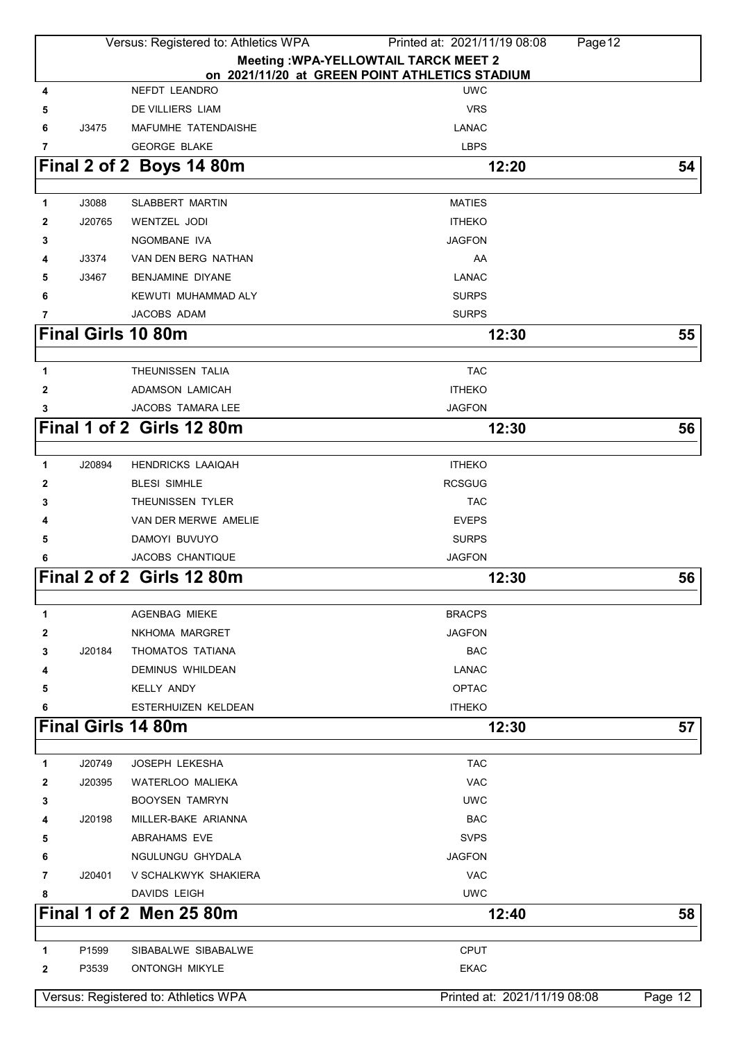|              | Versus: Registered to: Athletics WPA<br>Printed at: 2021/11/19 08:08<br>Page 12 |                                      |                                                |         |  |
|--------------|---------------------------------------------------------------------------------|--------------------------------------|------------------------------------------------|---------|--|
|              |                                                                                 |                                      | <b>Meeting : WPA-YELLOWTAIL TARCK MEET 2</b>   |         |  |
|              |                                                                                 |                                      | on 2021/11/20 at GREEN POINT ATHLETICS STADIUM |         |  |
| 4            |                                                                                 | NEFDT LEANDRO                        | <b>UWC</b>                                     |         |  |
| 5            |                                                                                 | DE VILLIERS LIAM                     | <b>VRS</b>                                     |         |  |
| 6            | J3475                                                                           | MAFUMHE TATENDAISHE                  | <b>LANAC</b>                                   |         |  |
| 7            |                                                                                 | <b>GEORGE BLAKE</b>                  | <b>LBPS</b>                                    |         |  |
|              |                                                                                 | Final 2 of 2 Boys 14 80m             | 12:20                                          | 54      |  |
| 1            | J3088                                                                           | SLABBERT MARTIN                      | <b>MATIES</b>                                  |         |  |
| 2            | J20765                                                                          | <b>WENTZEL JODI</b>                  | <b>ITHEKO</b>                                  |         |  |
| 3            |                                                                                 | NGOMBANE IVA                         | <b>JAGFON</b>                                  |         |  |
| 4            | J3374                                                                           | VAN DEN BERG NATHAN                  | AA                                             |         |  |
| 5            | J3467                                                                           | BENJAMINE DIYANE                     | LANAC                                          |         |  |
| 6            |                                                                                 | KEWUTI MUHAMMAD ALY                  | <b>SURPS</b>                                   |         |  |
| 7            |                                                                                 | JACOBS ADAM                          | <b>SURPS</b>                                   |         |  |
|              |                                                                                 | <b>Final Girls 10 80m</b>            | 12:30                                          | 55      |  |
|              |                                                                                 |                                      |                                                |         |  |
| 1            |                                                                                 | THEUNISSEN TALIA                     | <b>TAC</b>                                     |         |  |
| $\mathbf{2}$ |                                                                                 | <b>ADAMSON LAMICAH</b>               | <b>ITHEKO</b>                                  |         |  |
| 3            |                                                                                 | JACOBS TAMARA LEE                    | <b>JAGFON</b>                                  |         |  |
|              |                                                                                 | Final 1 of 2 Girls 12 80m            | 12:30                                          | 56      |  |
|              |                                                                                 |                                      |                                                |         |  |
| 1            | J20894                                                                          | <b>HENDRICKS LAAIQAH</b>             | <b>ITHEKO</b>                                  |         |  |
| 2            |                                                                                 | <b>BLESI SIMHLE</b>                  | <b>RCSGUG</b>                                  |         |  |
| 3            |                                                                                 | THEUNISSEN TYLER                     | <b>TAC</b>                                     |         |  |
| 4            |                                                                                 | VAN DER MERWE AMELIE                 | <b>EVEPS</b>                                   |         |  |
| 5            |                                                                                 | DAMOYI BUVUYO                        | <b>SURPS</b>                                   |         |  |
| 6            |                                                                                 | JACOBS CHANTIQUE                     | <b>JAGFON</b>                                  |         |  |
|              |                                                                                 | Final 2 of 2 Girls 12 80m            | 12:30                                          | 56      |  |
|              |                                                                                 |                                      |                                                |         |  |
| 1            |                                                                                 | <b>AGENBAG MIEKE</b>                 | <b>BRACPS</b>                                  |         |  |
| 2            |                                                                                 | NKHOMA MARGRET                       | <b>JAGFON</b>                                  |         |  |
| 3            | J20184                                                                          | THOMATOS TATIANA                     | <b>BAC</b>                                     |         |  |
| 4            |                                                                                 | <b>DEMINUS WHILDEAN</b>              | LANAC                                          |         |  |
| 5            |                                                                                 | <b>KELLY ANDY</b>                    | <b>OPTAC</b>                                   |         |  |
| 6            |                                                                                 | ESTERHUIZEN KELDEAN                  | <b>ITHEKO</b>                                  |         |  |
|              |                                                                                 | <b>Final Girls 14 80m</b>            | 12:30                                          | 57      |  |
| 1            | J20749                                                                          | JOSEPH LEKESHA                       | <b>TAC</b>                                     |         |  |
| 2            | J20395                                                                          | <b>WATERLOO MALIEKA</b>              | <b>VAC</b>                                     |         |  |
| 3            |                                                                                 | <b>BOOYSEN TAMRYN</b>                | <b>UWC</b>                                     |         |  |
| 4            | J20198                                                                          | MILLER-BAKE ARIANNA                  | <b>BAC</b>                                     |         |  |
| 5            |                                                                                 | ABRAHAMS EVE                         | <b>SVPS</b>                                    |         |  |
| 6            |                                                                                 | NGULUNGU GHYDALA                     | <b>JAGFON</b>                                  |         |  |
| 7            | J20401                                                                          | V SCHALKWYK SHAKIERA                 | <b>VAC</b>                                     |         |  |
| 8            |                                                                                 | DAVIDS LEIGH                         | <b>UWC</b>                                     |         |  |
|              |                                                                                 | <b>Final 1 of 2 Men 25 80m</b>       | 12:40                                          | 58      |  |
|              |                                                                                 |                                      |                                                |         |  |
| 1            | P1599                                                                           | SIBABALWE SIBABALWE                  | <b>CPUT</b>                                    |         |  |
| 2            | P3539                                                                           | <b>ONTONGH MIKYLE</b>                | <b>EKAC</b>                                    |         |  |
|              |                                                                                 |                                      |                                                |         |  |
|              |                                                                                 | Versus: Registered to: Athletics WPA | Printed at: 2021/11/19 08:08                   | Page 12 |  |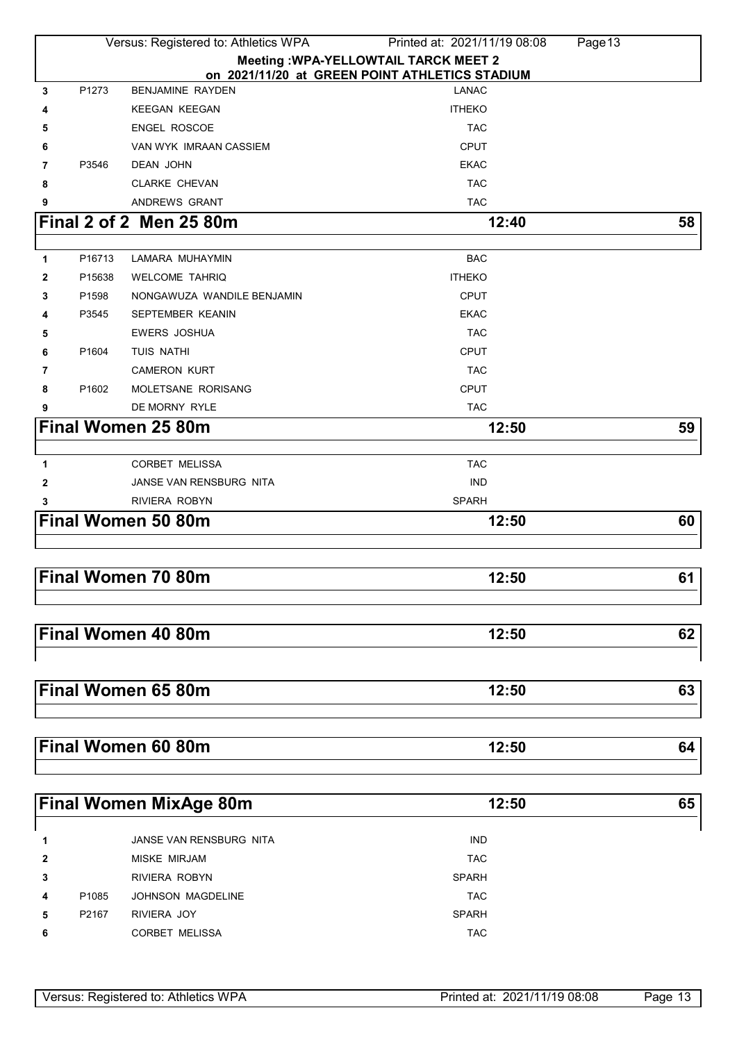|              |                   | Versus: Registered to: Athletics WPA | Printed at: 2021/11/19 08:08                                   | Page 13 |
|--------------|-------------------|--------------------------------------|----------------------------------------------------------------|---------|
|              |                   |                                      | <b>Meeting : WPA-YELLOWTAIL TARCK MEET 2</b>                   |         |
| 3            | P1273             | <b>BENJAMINE RAYDEN</b>              | on 2021/11/20 at GREEN POINT ATHLETICS STADIUM<br><b>LANAC</b> |         |
| 4            |                   | <b>KEEGAN KEEGAN</b>                 | <b>ITHEKO</b>                                                  |         |
| 5            |                   | <b>ENGEL ROSCOE</b>                  | <b>TAC</b>                                                     |         |
| 6            |                   | VAN WYK IMRAAN CASSIEM               | <b>CPUT</b>                                                    |         |
| 7            | P3546             | DEAN JOHN                            | <b>EKAC</b>                                                    |         |
| 8            |                   | <b>CLARKE CHEVAN</b>                 | <b>TAC</b>                                                     |         |
| 9            |                   | ANDREWS GRANT                        | <b>TAC</b>                                                     |         |
|              |                   | Final 2 of 2 Men 25 80m              | 12:40                                                          | 58      |
|              |                   |                                      |                                                                |         |
| 1            | P16713            | LAMARA MUHAYMIN                      | <b>BAC</b>                                                     |         |
| 2            | P15638            | <b>WELCOME TAHRIQ</b>                | <b>ITHEKO</b>                                                  |         |
| 3            | P1598             | NONGAWUZA WANDILE BENJAMIN           | <b>CPUT</b>                                                    |         |
| 4            | P3545             | SEPTEMBER KEANIN                     | <b>EKAC</b>                                                    |         |
| 5            |                   | <b>EWERS JOSHUA</b>                  | <b>TAC</b>                                                     |         |
| 6            | P1604             | TUIS NATHI                           | <b>CPUT</b>                                                    |         |
| 7            |                   | <b>CAMERON KURT</b>                  | <b>TAC</b>                                                     |         |
| 8            | P1602             | MOLETSANE RORISANG                   | <b>CPUT</b>                                                    |         |
| 9            |                   | DE MORNY RYLE                        | <b>TAC</b>                                                     |         |
|              |                   | <b>Final Women 25 80m</b>            | 12:50                                                          | 59      |
|              |                   |                                      |                                                                |         |
| 1            |                   | <b>CORBET MELISSA</b>                | <b>TAC</b>                                                     |         |
| $\mathbf{2}$ |                   | JANSE VAN RENSBURG NITA              | <b>IND</b>                                                     |         |
| 3            |                   | RIVIERA ROBYN                        | <b>SPARH</b>                                                   |         |
|              |                   | <b>Final Women 50 80m</b>            | 12:50                                                          | 60      |
|              |                   |                                      |                                                                |         |
|              |                   |                                      |                                                                |         |
|              |                   | Final Women 70 80m                   | 12:50                                                          | 61      |
|              |                   |                                      |                                                                |         |
|              |                   | <b>Final Women 40 80m</b>            | 12:50                                                          | 62      |
|              |                   |                                      |                                                                |         |
|              |                   |                                      |                                                                |         |
|              |                   | Final Women 65 80m                   | 12:50                                                          | 63      |
|              |                   |                                      |                                                                |         |
|              |                   |                                      |                                                                |         |
|              |                   | Final Women 60 80m                   | 12:50                                                          | 64      |
|              |                   |                                      |                                                                |         |
|              |                   |                                      |                                                                |         |
|              |                   | <b>Final Women MixAge 80m</b>        | 12:50                                                          | 65      |
|              |                   |                                      |                                                                |         |
| 1            |                   | JANSE VAN RENSBURG NITA              | <b>IND</b>                                                     |         |
| 2            |                   | <b>MISKE MIRJAM</b>                  | <b>TAC</b>                                                     |         |
| 3            |                   | RIVIERA ROBYN                        | <b>SPARH</b>                                                   |         |
| 4            | P <sub>1085</sub> | <b>JOHNSON MAGDELINE</b>             | <b>TAC</b>                                                     |         |
| 5            | P2167             | RIVIERA JOY                          | <b>SPARH</b>                                                   |         |
| 6            |                   | <b>CORBET MELISSA</b>                | <b>TAC</b>                                                     |         |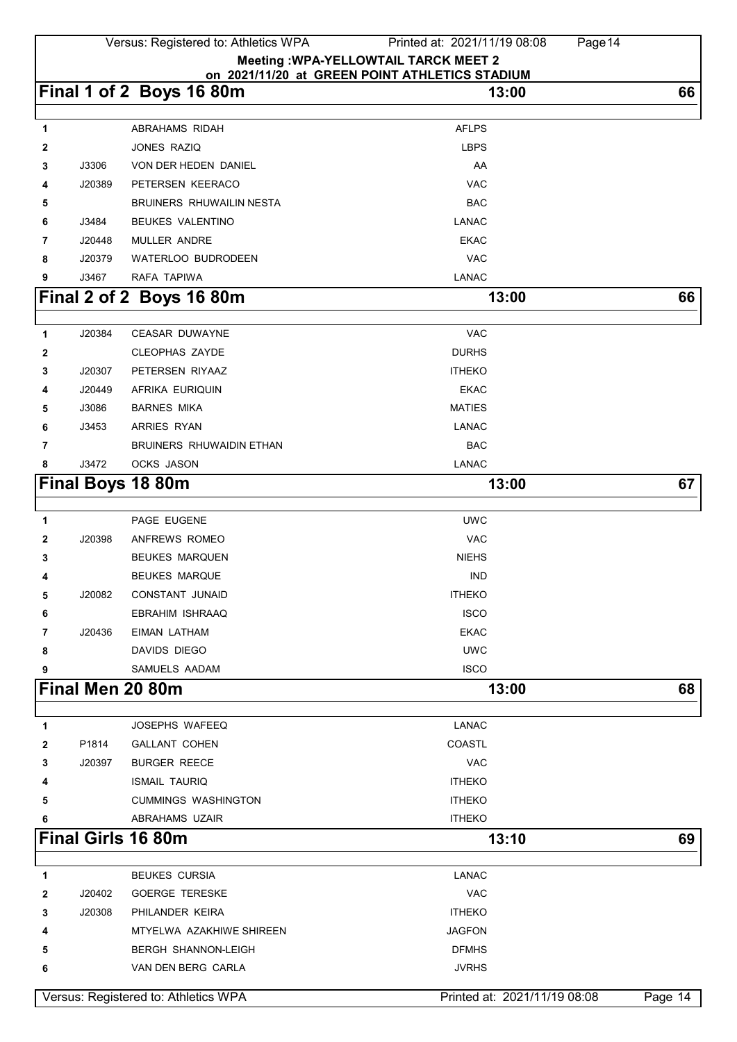|                                      |        | Versus: Registered to: Athletics WPA | Printed at: 2021/11/19 08:08<br>Page 14        |         |
|--------------------------------------|--------|--------------------------------------|------------------------------------------------|---------|
|                                      |        |                                      | <b>Meeting : WPA-YELLOWTAIL TARCK MEET 2</b>   |         |
|                                      |        |                                      | on 2021/11/20 at GREEN POINT ATHLETICS STADIUM |         |
|                                      |        | Final 1 of 2 Boys 16 80m             | 13:00                                          | 66      |
|                                      |        |                                      |                                                |         |
| 1                                    |        | ABRAHAMS RIDAH                       | <b>AFLPS</b>                                   |         |
| 2                                    |        | JONES RAZIQ                          | <b>LBPS</b>                                    |         |
| 3                                    | J3306  | VON DER HEDEN DANIEL                 | AA                                             |         |
| 4                                    | J20389 | PETERSEN KEERACO                     | <b>VAC</b>                                     |         |
| 5                                    |        | BRUINERS RHUWAILIN NESTA             | <b>BAC</b>                                     |         |
| 6                                    | J3484  | <b>BEUKES VALENTINO</b>              | <b>LANAC</b>                                   |         |
| 7                                    | J20448 | <b>MULLER ANDRE</b>                  | <b>EKAC</b>                                    |         |
| 8                                    | J20379 | WATERLOO BUDRODEEN                   | <b>VAC</b>                                     |         |
| 9                                    | J3467  | RAFA TAPIWA                          | LANAC                                          |         |
|                                      |        | Final 2 of 2 Boys 16 80m             | 13:00                                          | 66      |
| $\mathbf{1}$                         | J20384 | <b>CEASAR DUWAYNE</b>                | <b>VAC</b>                                     |         |
| 2                                    |        | <b>CLEOPHAS ZAYDE</b>                | <b>DURHS</b>                                   |         |
| 3                                    | J20307 | PETERSEN RIYAAZ                      | <b>ITHEKO</b>                                  |         |
| 4                                    | J20449 | <b>AFRIKA EURIQUIN</b>               | <b>EKAC</b>                                    |         |
| 5                                    | J3086  | <b>BARNES MIKA</b>                   | <b>MATIES</b>                                  |         |
| 6                                    | J3453  | ARRIES RYAN                          | LANAC                                          |         |
|                                      |        | BRUINERS RHUWAIDIN ETHAN             | <b>BAC</b>                                     |         |
| 7<br>8                               | J3472  | <b>OCKS JASON</b>                    | LANAC                                          |         |
|                                      |        |                                      |                                                |         |
|                                      |        | <b>Final Boys 18 80m</b>             | 13:00                                          | 67      |
| 1                                    |        | PAGE EUGENE                          | <b>UWC</b>                                     |         |
| 2                                    | J20398 | ANFREWS ROMEO                        | <b>VAC</b>                                     |         |
| 3                                    |        | <b>BEUKES MARQUEN</b>                | <b>NIEHS</b>                                   |         |
| 4                                    |        | <b>BEUKES MARQUE</b>                 | <b>IND</b>                                     |         |
| 5                                    | J20082 | <b>CONSTANT JUNAID</b>               | <b>ITHEKO</b>                                  |         |
| 6                                    |        | EBRAHIM ISHRAAQ                      | <b>ISCO</b>                                    |         |
| 7                                    | J20436 | EIMAN LATHAM                         | <b>EKAC</b>                                    |         |
| 8                                    |        | DAVIDS DIEGO                         | <b>UWC</b>                                     |         |
| 9                                    |        | SAMUELS AADAM                        | <b>ISCO</b>                                    |         |
|                                      |        |                                      |                                                |         |
|                                      |        | Final Men 20 80m                     | 13:00                                          | 68      |
| 1                                    |        | <b>JOSEPHS WAFEEQ</b>                | <b>LANAC</b>                                   |         |
| 2                                    | P1814  | <b>GALLANT COHEN</b>                 | COASTL                                         |         |
| 3                                    | J20397 | <b>BURGER REECE</b>                  | <b>VAC</b>                                     |         |
| 4                                    |        | <b>ISMAIL TAURIQ</b>                 | <b>ITHEKO</b>                                  |         |
| 5                                    |        | <b>CUMMINGS WASHINGTON</b>           | <b>ITHEKO</b>                                  |         |
| 6                                    |        | ABRAHAMS UZAIR                       | <b>ITHEKO</b>                                  |         |
|                                      |        | <b>Final Girls 16 80m</b>            | 13:10                                          | 69      |
|                                      |        |                                      |                                                |         |
| 1                                    |        | <b>BEUKES CURSIA</b>                 | <b>LANAC</b>                                   |         |
| 2                                    | J20402 | <b>GOERGE TERESKE</b>                | <b>VAC</b>                                     |         |
| 3                                    | J20308 | PHILANDER KEIRA                      | <b>ITHEKO</b>                                  |         |
| 4                                    |        | MTYELWA AZAKHIWE SHIREEN             | <b>JAGFON</b>                                  |         |
| 5                                    |        | <b>BERGH SHANNON-LEIGH</b>           | <b>DFMHS</b>                                   |         |
| 6                                    |        | VAN DEN BERG CARLA                   | <b>JVRHS</b>                                   |         |
| Versus: Registered to: Athletics WPA |        |                                      | Printed at: 2021/11/19 08:08                   | Page 14 |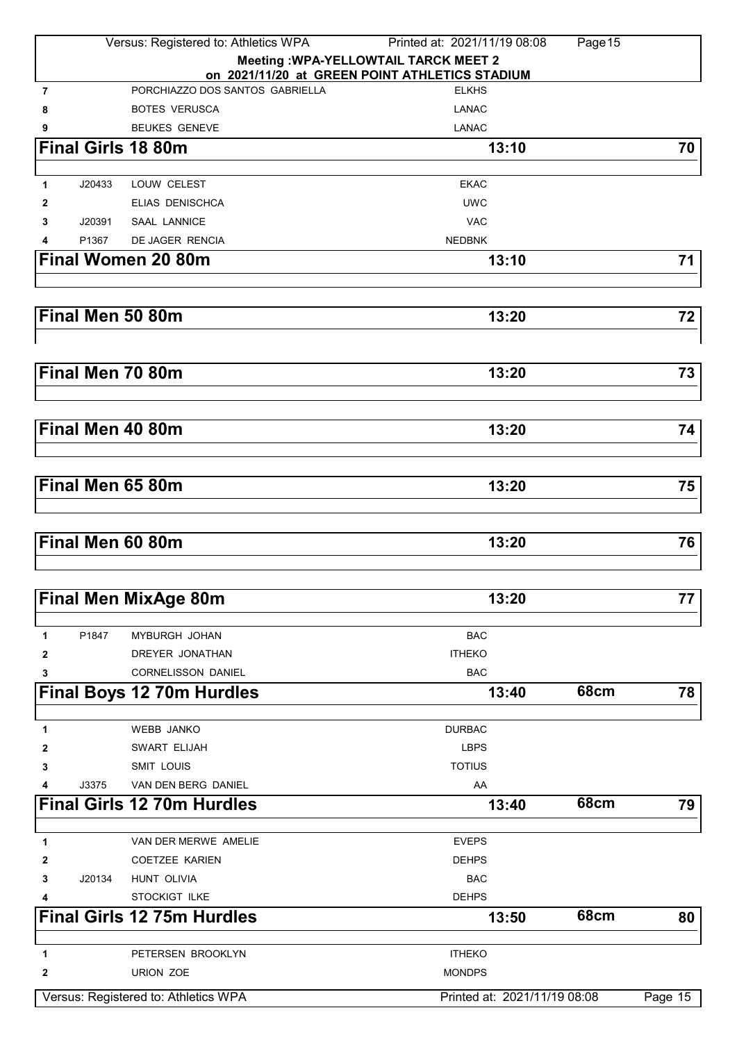|                                      |        | Versus: Registered to: Athletics WPA | Printed at: 2021/11/19 08:08                   | Page 15     |         |
|--------------------------------------|--------|--------------------------------------|------------------------------------------------|-------------|---------|
|                                      |        |                                      | <b>Meeting : WPA-YELLOWTAIL TARCK MEET 2</b>   |             |         |
|                                      |        |                                      | on 2021/11/20 at GREEN POINT ATHLETICS STADIUM |             |         |
| $\overline{7}$                       |        | PORCHIAZZO DOS SANTOS GABRIELLA      | <b>ELKHS</b>                                   |             |         |
| 8                                    |        | <b>BOTES VERUSCA</b>                 | <b>LANAC</b>                                   |             |         |
| 9                                    |        | <b>BEUKES GENEVE</b>                 | <b>LANAC</b>                                   |             |         |
|                                      |        | <b>Final Girls 18 80m</b>            | 13:10                                          |             | 70      |
| $\mathbf{1}$                         | J20433 | LOUW CELEST                          | <b>EKAC</b>                                    |             |         |
| 2                                    |        | <b>ELIAS DENISCHCA</b>               | <b>UWC</b>                                     |             |         |
| 3                                    | J20391 | <b>SAAL LANNICE</b>                  | <b>VAC</b>                                     |             |         |
| 4                                    | P1367  | DE JAGER RENCIA                      | <b>NEDBNK</b>                                  |             |         |
|                                      |        | <b>Final Women 20 80m</b>            | 13:10                                          |             | 71      |
|                                      |        |                                      |                                                |             |         |
|                                      |        | Final Men 50 80m                     | 13:20                                          |             | 72      |
|                                      |        |                                      |                                                |             |         |
|                                      |        | Final Men 70 80m                     | 13:20                                          |             | 73      |
|                                      |        |                                      |                                                |             |         |
|                                      |        | Final Men 40 80m                     | 13:20                                          |             | 74      |
|                                      |        |                                      |                                                |             |         |
|                                      |        | Final Men 65 80m                     | 13:20                                          |             | 75      |
|                                      |        |                                      |                                                |             |         |
|                                      |        | Final Men 60 80m                     | 13:20                                          |             | 76      |
|                                      |        |                                      |                                                |             |         |
|                                      |        | <b>Final Men MixAge 80m</b>          | 13:20                                          |             | 77      |
|                                      |        |                                      |                                                |             |         |
| 1                                    | P1847  | MYBURGH JOHAN                        | <b>BAC</b>                                     |             |         |
| 2                                    |        | DREYER JONATHAN                      | <b>ITHEKO</b>                                  |             |         |
| 3                                    |        | <b>CORNELISSON DANIEL</b>            | <b>BAC</b>                                     | <b>68cm</b> |         |
|                                      |        | <b>Final Boys 12 70m Hurdles</b>     | 13:40                                          |             | 78      |
| 1                                    |        | <b>WEBB JANKO</b>                    | <b>DURBAC</b>                                  |             |         |
| 2                                    |        | SWART ELIJAH                         | <b>LBPS</b>                                    |             |         |
| 3                                    |        | SMIT LOUIS                           | <b>TOTIUS</b>                                  |             |         |
| 4                                    | J3375  | VAN DEN BERG DANIEL                  | AA                                             |             |         |
|                                      |        | <b>Final Girls 12 70m Hurdles</b>    | 13:40                                          | <b>68cm</b> | 79      |
|                                      |        |                                      |                                                |             |         |
| 1                                    |        | VAN DER MERWE AMELIE                 | <b>EVEPS</b>                                   |             |         |
| 2                                    |        | <b>COETZEE KARIEN</b>                | <b>DEHPS</b>                                   |             |         |
| 3                                    | J20134 | HUNT OLIVIA                          | <b>BAC</b>                                     |             |         |
| 4                                    |        | STOCKIGT ILKE                        | <b>DEHPS</b>                                   |             |         |
|                                      |        | <b>Final Girls 12 75m Hurdles</b>    | 13:50                                          | 68cm        | 80      |
| 1                                    |        | PETERSEN BROOKLYN                    | <b>ITHEKO</b>                                  |             |         |
| $\mathbf{2}$                         |        | URION ZOE                            | <b>MONDPS</b>                                  |             |         |
| Versus: Registered to: Athletics WPA |        |                                      | Printed at: 2021/11/19 08:08                   |             | Page 15 |